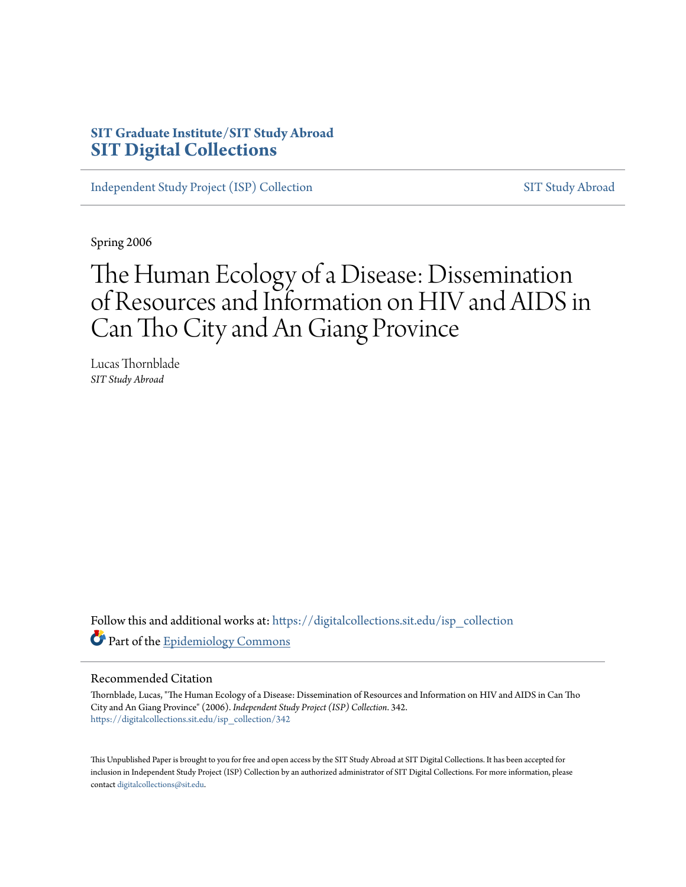# **SIT Graduate Institute/SIT Study Abroad [SIT Digital Collections](https://digitalcollections.sit.edu?utm_source=digitalcollections.sit.edu%2Fisp_collection%2F342&utm_medium=PDF&utm_campaign=PDFCoverPages)**

[Independent Study Project \(ISP\) Collection](https://digitalcollections.sit.edu/isp_collection?utm_source=digitalcollections.sit.edu%2Fisp_collection%2F342&utm_medium=PDF&utm_campaign=PDFCoverPages) [SIT Study Abroad](https://digitalcollections.sit.edu/study_abroad?utm_source=digitalcollections.sit.edu%2Fisp_collection%2F342&utm_medium=PDF&utm_campaign=PDFCoverPages)

Spring 2006

# The Human Ecology of a Disease: Dissemination of Resources and Information on HIV and AIDS in Can Tho City and An Giang Province

Lucas Thornblade *SIT Study Abroad*

Follow this and additional works at: [https://digitalcollections.sit.edu/isp\\_collection](https://digitalcollections.sit.edu/isp_collection?utm_source=digitalcollections.sit.edu%2Fisp_collection%2F342&utm_medium=PDF&utm_campaign=PDFCoverPages) Part of the [Epidemiology Commons](http://network.bepress.com/hgg/discipline/740?utm_source=digitalcollections.sit.edu%2Fisp_collection%2F342&utm_medium=PDF&utm_campaign=PDFCoverPages)

#### Recommended Citation

Thornblade, Lucas, "The Human Ecology of a Disease: Dissemination of Resources and Information on HIV and AIDS in Can Tho City and An Giang Province" (2006). *Independent Study Project (ISP) Collection*. 342. [https://digitalcollections.sit.edu/isp\\_collection/342](https://digitalcollections.sit.edu/isp_collection/342?utm_source=digitalcollections.sit.edu%2Fisp_collection%2F342&utm_medium=PDF&utm_campaign=PDFCoverPages)

This Unpublished Paper is brought to you for free and open access by the SIT Study Abroad at SIT Digital Collections. It has been accepted for inclusion in Independent Study Project (ISP) Collection by an authorized administrator of SIT Digital Collections. For more information, please contact [digitalcollections@sit.edu](mailto:digitalcollections@sit.edu).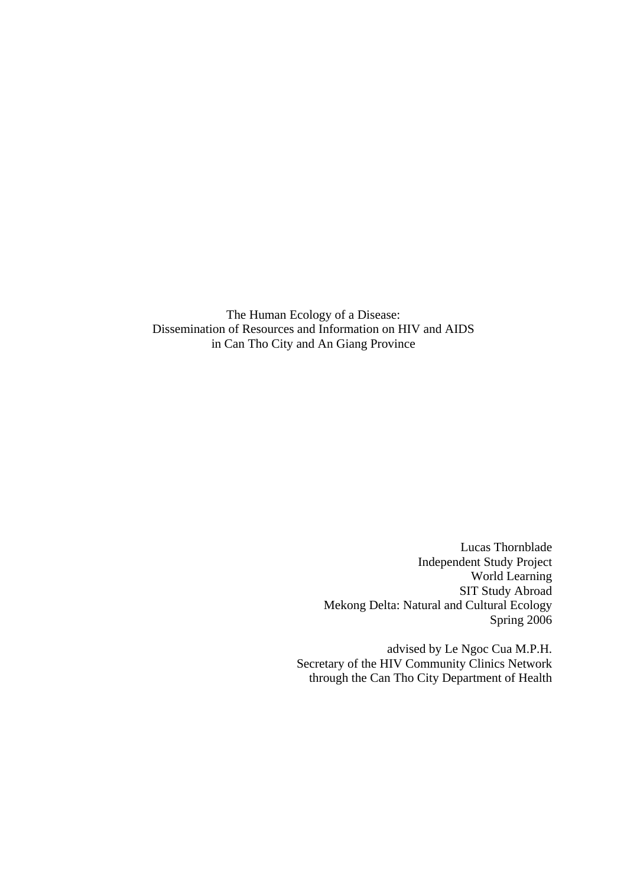The Human Ecology of a Disease: Dissemination of Resources and Information on HIV and AIDS in Can Tho City and An Giang Province

> Lucas Thornblade Independent Study Project World Learning SIT Study Abroad Mekong Delta: Natural and Cultural Ecology Spring 2006

advised by Le Ngoc Cua M.P.H. Secretary of the HIV Community Clinics Network through the Can Tho City Department of Health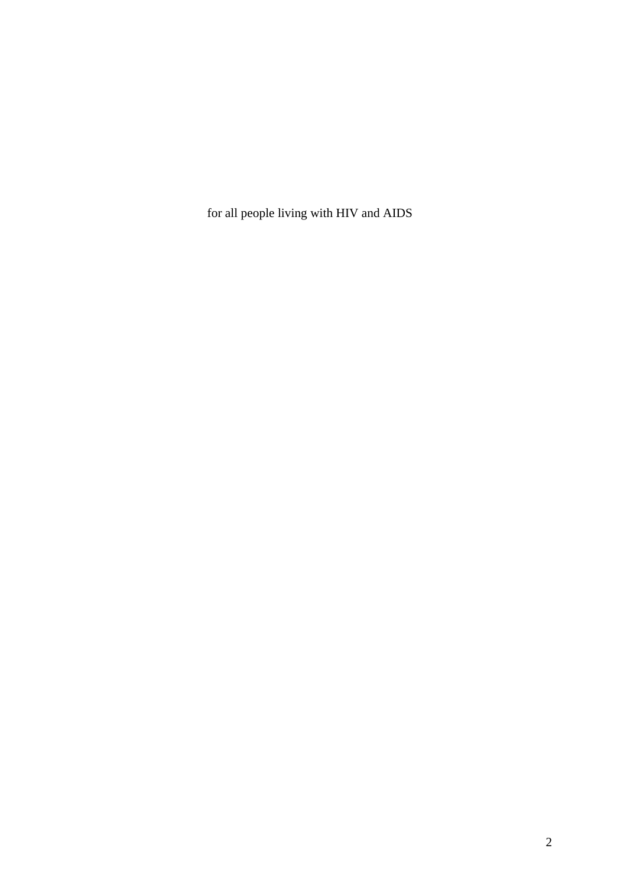for all people living with HIV and AIDS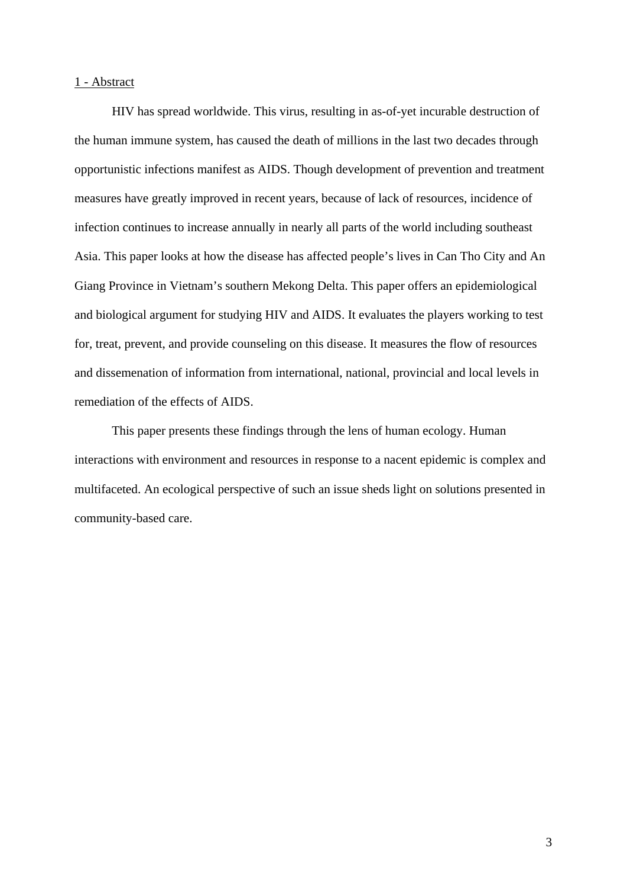## 1 - Abstract

 HIV has spread worldwide. This virus, resulting in as-of-yet incurable destruction of the human immune system, has caused the death of millions in the last two decades through opportunistic infections manifest as AIDS. Though development of prevention and treatment measures have greatly improved in recent years, because of lack of resources, incidence of infection continues to increase annually in nearly all parts of the world including southeast Asia. This paper looks at how the disease has affected people's lives in Can Tho City and An Giang Province in Vietnam's southern Mekong Delta. This paper offers an epidemiological and biological argument for studying HIV and AIDS. It evaluates the players working to test for, treat, prevent, and provide counseling on this disease. It measures the flow of resources and dissemenation of information from international, national, provincial and local levels in remediation of the effects of AIDS.

 This paper presents these findings through the lens of human ecology. Human interactions with environment and resources in response to a nacent epidemic is complex and multifaceted. An ecological perspective of such an issue sheds light on solutions presented in community-based care.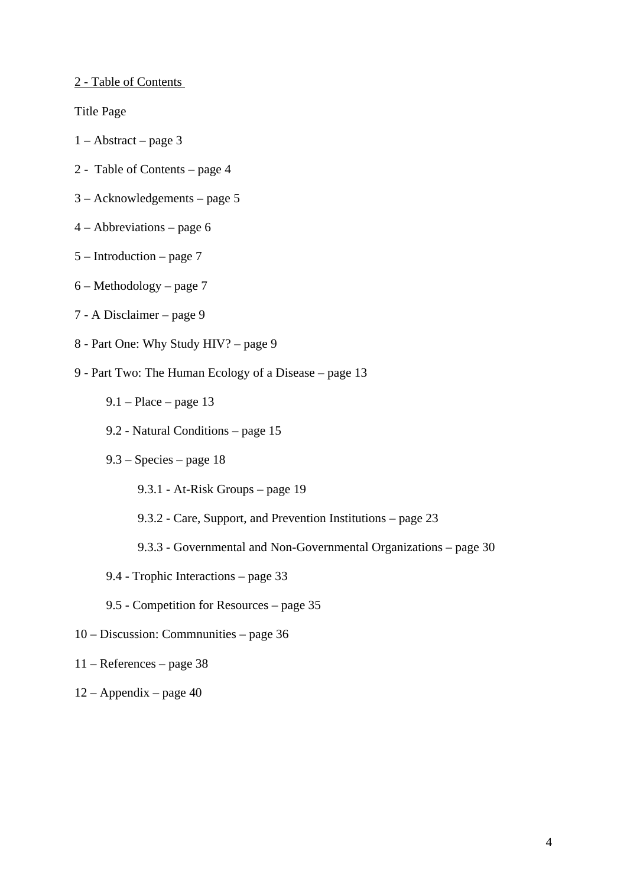2 - Table of Contents

Title Page

- 1 Abstract page 3
- 2 Table of Contents page 4
- 3 Acknowledgements page 5
- 4 Abbreviations page 6
- 5 Introduction page 7
- 6 Methodology page 7
- 7 A Disclaimer page 9
- 8 Part One: Why Study HIV? page 9
- 9 Part Two: The Human Ecology of a Disease page 13
	- $9.1 -$ Place page 13
	- 9.2 Natural Conditions page 15
	- 9.3 Species page 18
		- 9.3.1 At-Risk Groups page 19
		- 9.3.2 Care, Support, and Prevention Institutions page 23
		- 9.3.3 Governmental and Non-Governmental Organizations page 30
	- 9.4 Trophic Interactions page 33
	- 9.5 Competition for Resources page 35
- 10 Discussion: Commnunities page 36
- 11 References page 38
- 12 Appendix page 40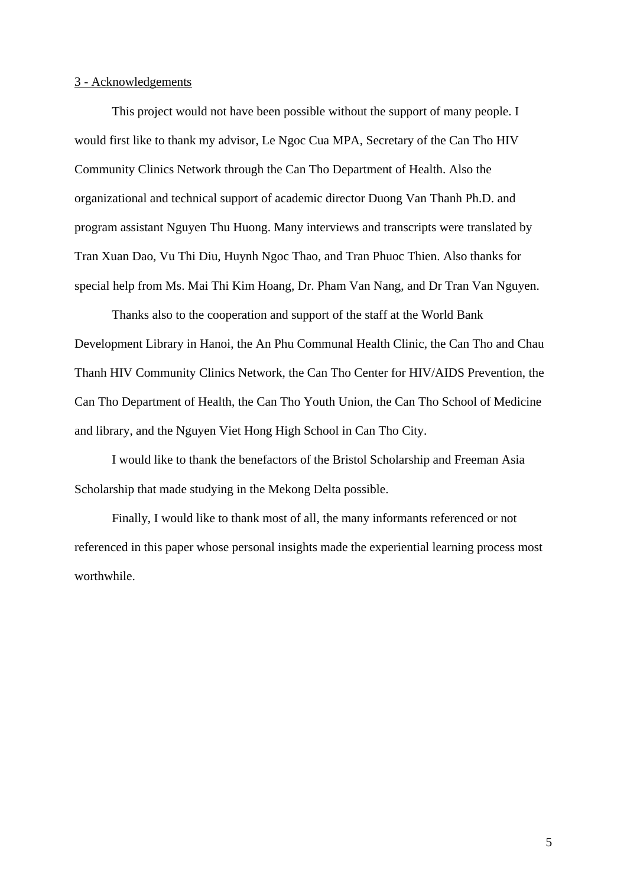## 3 - Acknowledgements

 This project would not have been possible without the support of many people. I would first like to thank my advisor, Le Ngoc Cua MPA, Secretary of the Can Tho HIV Community Clinics Network through the Can Tho Department of Health. Also the organizational and technical support of academic director Duong Van Thanh Ph.D. and program assistant Nguyen Thu Huong. Many interviews and transcripts were translated by Tran Xuan Dao, Vu Thi Diu, Huynh Ngoc Thao, and Tran Phuoc Thien. Also thanks for special help from Ms. Mai Thi Kim Hoang, Dr. Pham Van Nang, and Dr Tran Van Nguyen.

Thanks also to the cooperation and support of the staff at the World Bank Development Library in Hanoi, the An Phu Communal Health Clinic, the Can Tho and Chau Thanh HIV Community Clinics Network, the Can Tho Center for HIV/AIDS Prevention, the Can Tho Department of Health, the Can Tho Youth Union, the Can Tho School of Medicine and library, and the Nguyen Viet Hong High School in Can Tho City.

I would like to thank the benefactors of the Bristol Scholarship and Freeman Asia Scholarship that made studying in the Mekong Delta possible.

Finally, I would like to thank most of all, the many informants referenced or not referenced in this paper whose personal insights made the experiential learning process most worthwhile.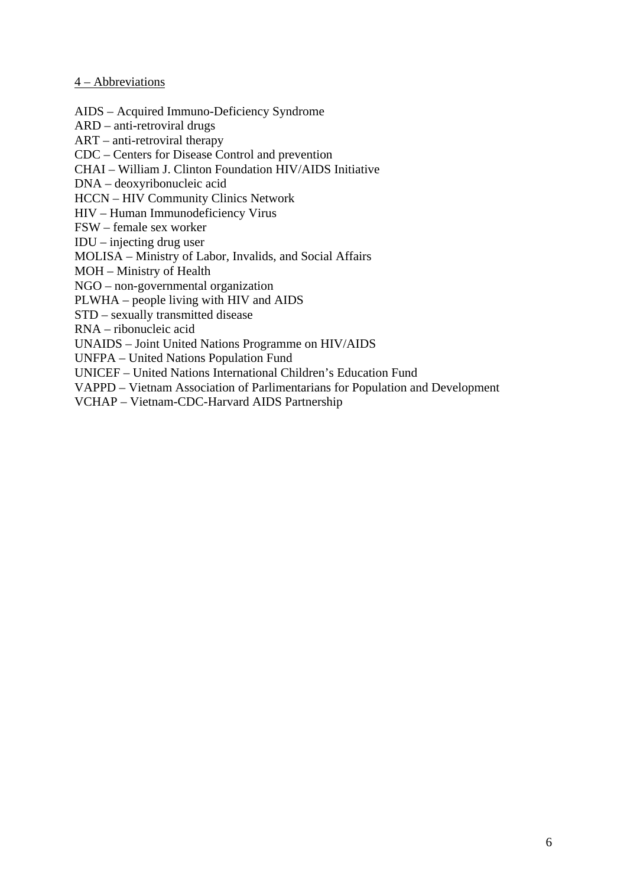## 4 – Abbreviations

AIDS – Acquired Immuno-Deficiency Syndrome

ARD – anti-retroviral drugs

ART – anti-retroviral therapy

CDC – Centers for Disease Control and prevention

CHAI – William J. Clinton Foundation HIV/AIDS Initiative

DNA – deoxyribonucleic acid

HCCN – HIV Community Clinics Network

HIV – Human Immunodeficiency Virus

FSW – female sex worker

IDU – injecting drug user

MOLISA – Ministry of Labor, Invalids, and Social Affairs

MOH – Ministry of Health

NGO – non-governmental organization

PLWHA – people living with HIV and AIDS

STD – sexually transmitted disease

RNA – ribonucleic acid

UNAIDS – Joint United Nations Programme on HIV/AIDS

UNFPA – United Nations Population Fund

UNICEF – United Nations International Children's Education Fund

VAPPD – Vietnam Association of Parlimentarians for Population and Development

VCHAP – Vietnam-CDC-Harvard AIDS Partnership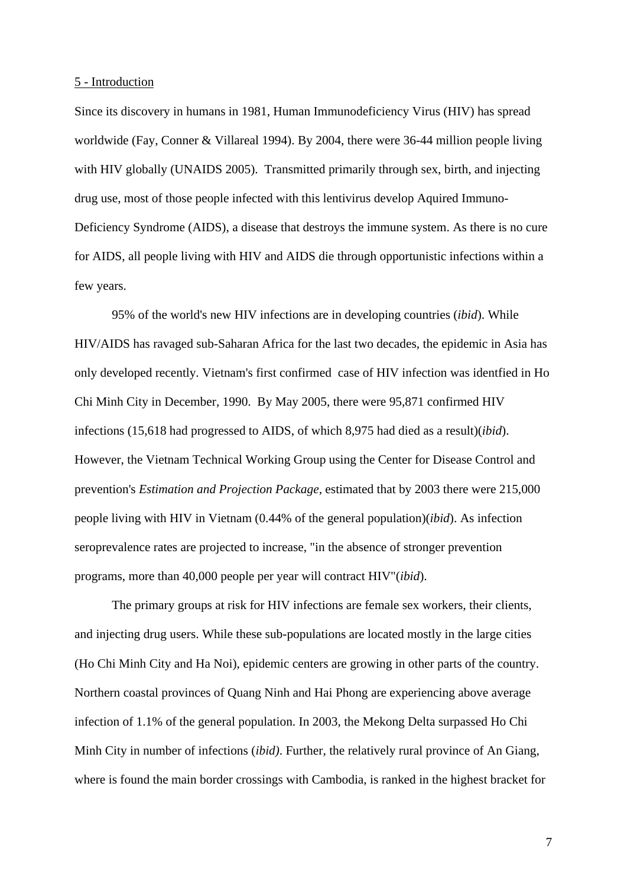#### 5 - Introduction

Since its discovery in humans in 1981, Human Immunodeficiency Virus (HIV) has spread worldwide (Fay, Conner & Villareal 1994). By 2004, there were 36-44 million people living with HIV globally (UNAIDS 2005). Transmitted primarily through sex, birth, and injecting drug use, most of those people infected with this lentivirus develop Aquired Immuno-Deficiency Syndrome (AIDS), a disease that destroys the immune system. As there is no cure for AIDS, all people living with HIV and AIDS die through opportunistic infections within a few years.

 95% of the world's new HIV infections are in developing countries (*ibid*). While HIV/AIDS has ravaged sub-Saharan Africa for the last two decades, the epidemic in Asia has only developed recently. Vietnam's first confirmed case of HIV infection was identfied in Ho Chi Minh City in December, 1990. By May 2005, there were 95,871 confirmed HIV infections (15,618 had progressed to AIDS, of which 8,975 had died as a result)(*ibid*). However, the Vietnam Technical Working Group using the Center for Disease Control and prevention's *Estimation and Projection Package*, estimated that by 2003 there were 215,000 people living with HIV in Vietnam (0.44% of the general population)(*ibid*). As infection seroprevalence rates are projected to increase, "in the absence of stronger prevention programs, more than 40,000 people per year will contract HIV"(*ibid*).

 The primary groups at risk for HIV infections are female sex workers, their clients, and injecting drug users. While these sub-populations are located mostly in the large cities (Ho Chi Minh City and Ha Noi), epidemic centers are growing in other parts of the country. Northern coastal provinces of Quang Ninh and Hai Phong are experiencing above average infection of 1.1% of the general population. In 2003, the Mekong Delta surpassed Ho Chi Minh City in number of infections (*ibid)*. Further, the relatively rural province of An Giang, where is found the main border crossings with Cambodia, is ranked in the highest bracket for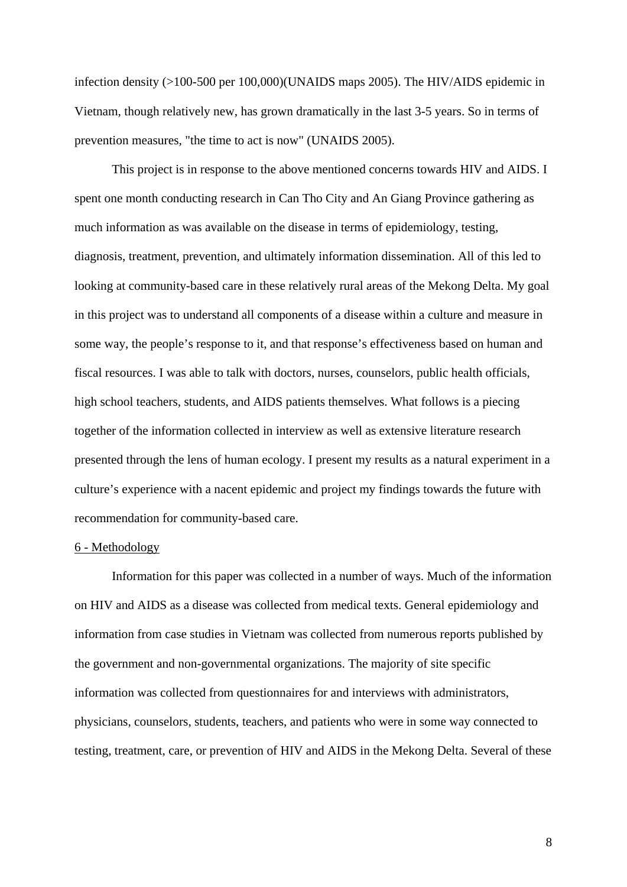infection density (>100-500 per 100,000)(UNAIDS maps 2005). The HIV/AIDS epidemic in Vietnam, though relatively new, has grown dramatically in the last 3-5 years. So in terms of prevention measures, "the time to act is now" (UNAIDS 2005).

 This project is in response to the above mentioned concerns towards HIV and AIDS. I spent one month conducting research in Can Tho City and An Giang Province gathering as much information as was available on the disease in terms of epidemiology, testing, diagnosis, treatment, prevention, and ultimately information dissemination. All of this led to looking at community-based care in these relatively rural areas of the Mekong Delta. My goal in this project was to understand all components of a disease within a culture and measure in some way, the people's response to it, and that response's effectiveness based on human and fiscal resources. I was able to talk with doctors, nurses, counselors, public health officials, high school teachers, students, and AIDS patients themselves. What follows is a piecing together of the information collected in interview as well as extensive literature research presented through the lens of human ecology. I present my results as a natural experiment in a culture's experience with a nacent epidemic and project my findings towards the future with recommendation for community-based care.

### 6 - Methodology

 Information for this paper was collected in a number of ways. Much of the information on HIV and AIDS as a disease was collected from medical texts. General epidemiology and information from case studies in Vietnam was collected from numerous reports published by the government and non-governmental organizations. The majority of site specific information was collected from questionnaires for and interviews with administrators, physicians, counselors, students, teachers, and patients who were in some way connected to testing, treatment, care, or prevention of HIV and AIDS in the Mekong Delta. Several of these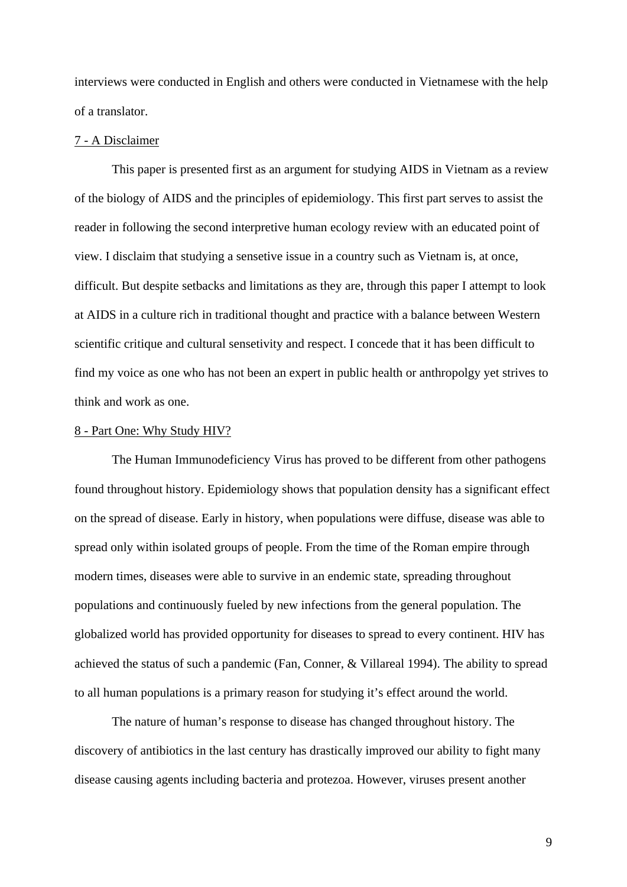interviews were conducted in English and others were conducted in Vietnamese with the help of a translator.

## 7 - A Disclaimer

 This paper is presented first as an argument for studying AIDS in Vietnam as a review of the biology of AIDS and the principles of epidemiology. This first part serves to assist the reader in following the second interpretive human ecology review with an educated point of view. I disclaim that studying a sensetive issue in a country such as Vietnam is, at once, difficult. But despite setbacks and limitations as they are, through this paper I attempt to look at AIDS in a culture rich in traditional thought and practice with a balance between Western scientific critique and cultural sensetivity and respect. I concede that it has been difficult to find my voice as one who has not been an expert in public health or anthropolgy yet strives to think and work as one.

### 8 - Part One: Why Study HIV?

 The Human Immunodeficiency Virus has proved to be different from other pathogens found throughout history. Epidemiology shows that population density has a significant effect on the spread of disease. Early in history, when populations were diffuse, disease was able to spread only within isolated groups of people. From the time of the Roman empire through modern times, diseases were able to survive in an endemic state, spreading throughout populations and continuously fueled by new infections from the general population. The globalized world has provided opportunity for diseases to spread to every continent. HIV has achieved the status of such a pandemic (Fan, Conner, & Villareal 1994). The ability to spread to all human populations is a primary reason for studying it's effect around the world.

 The nature of human's response to disease has changed throughout history. The discovery of antibiotics in the last century has drastically improved our ability to fight many disease causing agents including bacteria and protezoa. However, viruses present another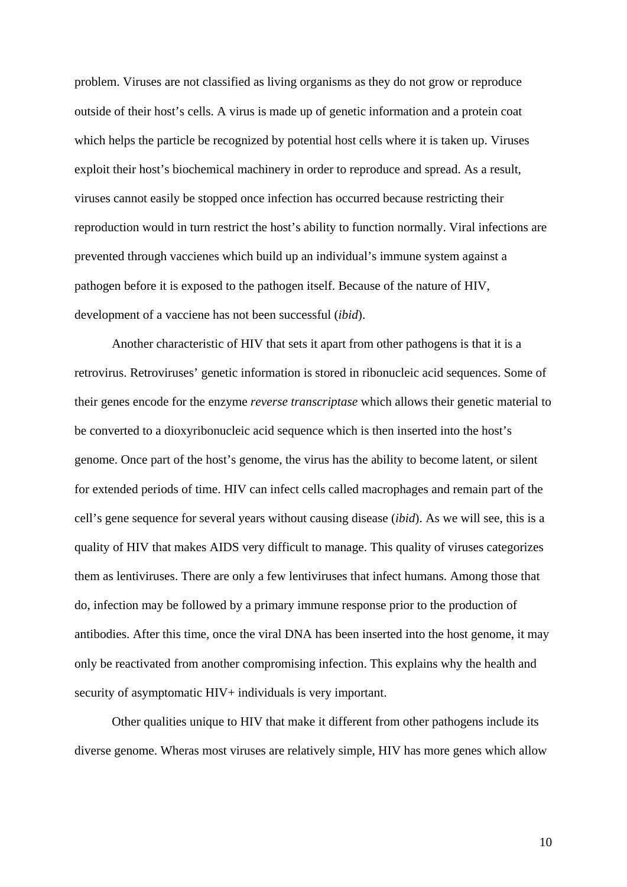problem. Viruses are not classified as living organisms as they do not grow or reproduce outside of their host's cells. A virus is made up of genetic information and a protein coat which helps the particle be recognized by potential host cells where it is taken up. Viruses exploit their host's biochemical machinery in order to reproduce and spread. As a result, viruses cannot easily be stopped once infection has occurred because restricting their reproduction would in turn restrict the host's ability to function normally. Viral infections are prevented through vaccienes which build up an individual's immune system against a pathogen before it is exposed to the pathogen itself. Because of the nature of HIV, development of a vacciene has not been successful (*ibid*).

 Another characteristic of HIV that sets it apart from other pathogens is that it is a retrovirus. Retroviruses' genetic information is stored in ribonucleic acid sequences. Some of their genes encode for the enzyme *reverse transcriptase* which allows their genetic material to be converted to a dioxyribonucleic acid sequence which is then inserted into the host's genome. Once part of the host's genome, the virus has the ability to become latent, or silent for extended periods of time. HIV can infect cells called macrophages and remain part of the cell's gene sequence for several years without causing disease (*ibid*). As we will see, this is a quality of HIV that makes AIDS very difficult to manage. This quality of viruses categorizes them as lentiviruses. There are only a few lentiviruses that infect humans. Among those that do, infection may be followed by a primary immune response prior to the production of antibodies. After this time, once the viral DNA has been inserted into the host genome, it may only be reactivated from another compromising infection. This explains why the health and security of asymptomatic HIV+ individuals is very important.

 Other qualities unique to HIV that make it different from other pathogens include its diverse genome. Wheras most viruses are relatively simple, HIV has more genes which allow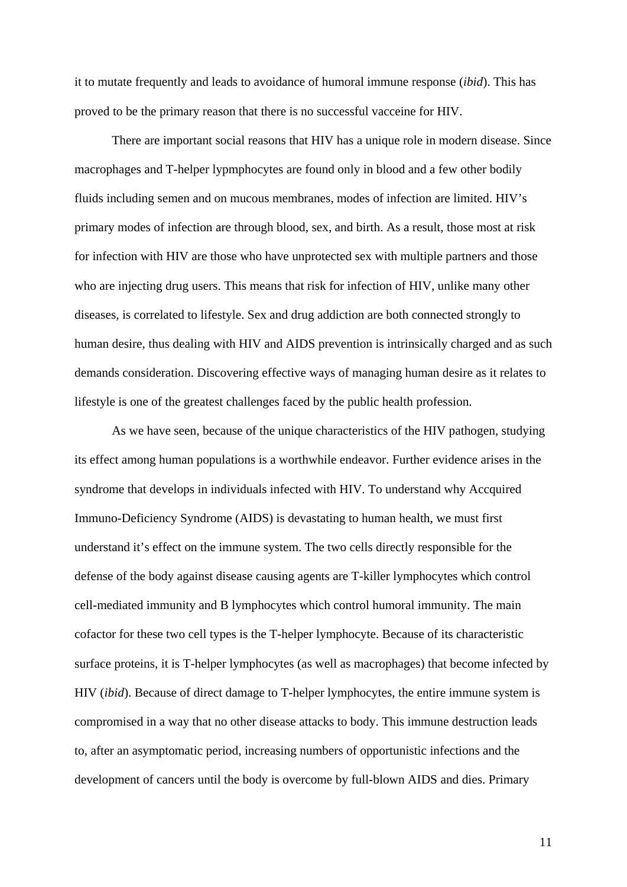it to mutate frequently and leads to avoidance of humoral immune response (*ibid*). This has proved to be the primary reason that there is no successful vacceine for HIV.

 There are important social reasons that HIV has a unique role in modern disease. Since macrophages and T-helper lypmphocytes are found only in blood and a few other bodily fluids including semen and on mucous membranes, modes of infection are limited. HIV's primary modes of infection are through blood, sex, and birth. As a result, those most at risk for infection with HIV are those who have unprotected sex with multiple partners and those who are injecting drug users. This means that risk for infection of HIV, unlike many other diseases, is correlated to lifestyle. Sex and drug addiction are both connected strongly to human desire, thus dealing with HIV and AIDS prevention is intrinsically charged and as such demands consideration. Discovering effective ways of managing human desire as it relates to lifestyle is one of the greatest challenges faced by the public health profession.

 As we have seen, because of the unique characteristics of the HIV pathogen, studying its effect among human populations is a worthwhile endeavor. Further evidence arises in the syndrome that develops in individuals infected with HIV. To understand why Accquired Immuno-Deficiency Syndrome (AIDS) is devastating to human health, we must first understand it's effect on the immune system. The two cells directly responsible for the defense of the body against disease causing agents are T-killer lymphocytes which control cell-mediated immunity and B lymphocytes which control humoral immunity. The main cofactor for these two cell types is the T-helper lymphocyte. Because of its characteristic surface proteins, it is T-helper lymphocytes (as well as macrophages) that become infected by HIV (*ibid*). Because of direct damage to T-helper lymphocytes, the entire immune system is compromised in a way that no other disease attacks to body. This immune destruction leads to, after an asymptomatic period, increasing numbers of opportunistic infections and the development of cancers until the body is overcome by full-blown AIDS and dies. Primary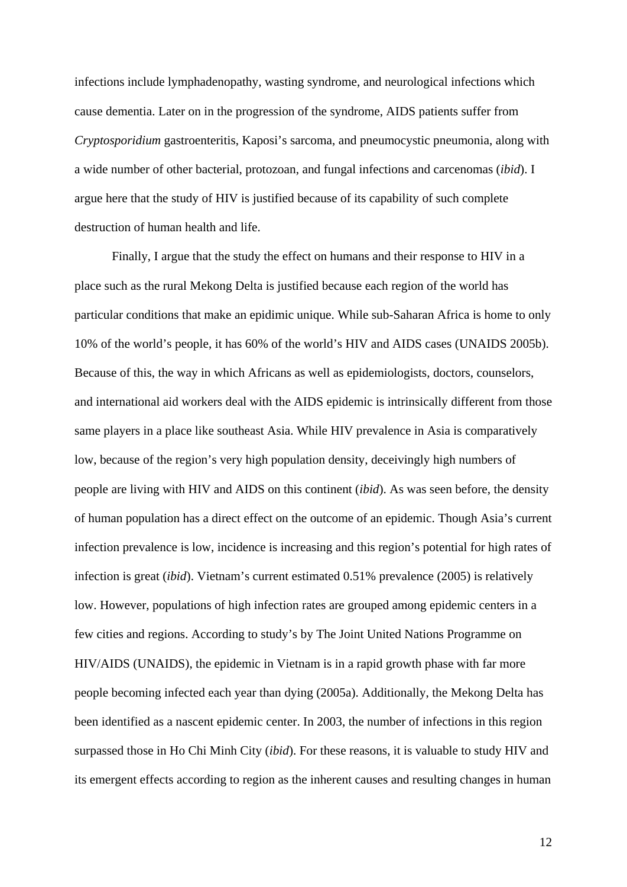infections include lymphadenopathy, wasting syndrome, and neurological infections which cause dementia. Later on in the progression of the syndrome, AIDS patients suffer from *Cryptosporidium* gastroenteritis, Kaposi's sarcoma, and pneumocystic pneumonia, along with a wide number of other bacterial, protozoan, and fungal infections and carcenomas (*ibid*). I argue here that the study of HIV is justified because of its capability of such complete destruction of human health and life.

 Finally, I argue that the study the effect on humans and their response to HIV in a place such as the rural Mekong Delta is justified because each region of the world has particular conditions that make an epidimic unique. While sub-Saharan Africa is home to only 10% of the world's people, it has 60% of the world's HIV and AIDS cases (UNAIDS 2005b). Because of this, the way in which Africans as well as epidemiologists, doctors, counselors, and international aid workers deal with the AIDS epidemic is intrinsically different from those same players in a place like southeast Asia. While HIV prevalence in Asia is comparatively low, because of the region's very high population density, deceivingly high numbers of people are living with HIV and AIDS on this continent (*ibid*). As was seen before, the density of human population has a direct effect on the outcome of an epidemic. Though Asia's current infection prevalence is low, incidence is increasing and this region's potential for high rates of infection is great (*ibid*). Vietnam's current estimated 0.51% prevalence (2005) is relatively low. However, populations of high infection rates are grouped among epidemic centers in a few cities and regions. According to study's by The Joint United Nations Programme on HIV/AIDS (UNAIDS), the epidemic in Vietnam is in a rapid growth phase with far more people becoming infected each year than dying (2005a). Additionally, the Mekong Delta has been identified as a nascent epidemic center. In 2003, the number of infections in this region surpassed those in Ho Chi Minh City (*ibid*). For these reasons, it is valuable to study HIV and its emergent effects according to region as the inherent causes and resulting changes in human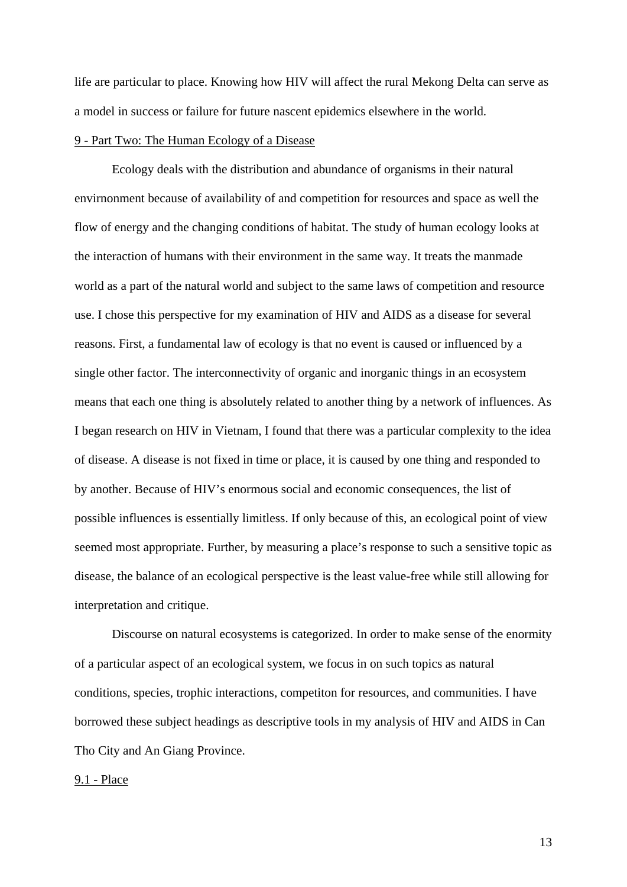life are particular to place. Knowing how HIV will affect the rural Mekong Delta can serve as a model in success or failure for future nascent epidemics elsewhere in the world.

## 9 - Part Two: The Human Ecology of a Disease

 Ecology deals with the distribution and abundance of organisms in their natural envirnonment because of availability of and competition for resources and space as well the flow of energy and the changing conditions of habitat. The study of human ecology looks at the interaction of humans with their environment in the same way. It treats the manmade world as a part of the natural world and subject to the same laws of competition and resource use. I chose this perspective for my examination of HIV and AIDS as a disease for several reasons. First, a fundamental law of ecology is that no event is caused or influenced by a single other factor. The interconnectivity of organic and inorganic things in an ecosystem means that each one thing is absolutely related to another thing by a network of influences. As I began research on HIV in Vietnam, I found that there was a particular complexity to the idea of disease. A disease is not fixed in time or place, it is caused by one thing and responded to by another. Because of HIV's enormous social and economic consequences, the list of possible influences is essentially limitless. If only because of this, an ecological point of view seemed most appropriate. Further, by measuring a place's response to such a sensitive topic as disease, the balance of an ecological perspective is the least value-free while still allowing for interpretation and critique.

 Discourse on natural ecosystems is categorized. In order to make sense of the enormity of a particular aspect of an ecological system, we focus in on such topics as natural conditions, species, trophic interactions, competiton for resources, and communities. I have borrowed these subject headings as descriptive tools in my analysis of HIV and AIDS in Can Tho City and An Giang Province.

## 9.1 - Place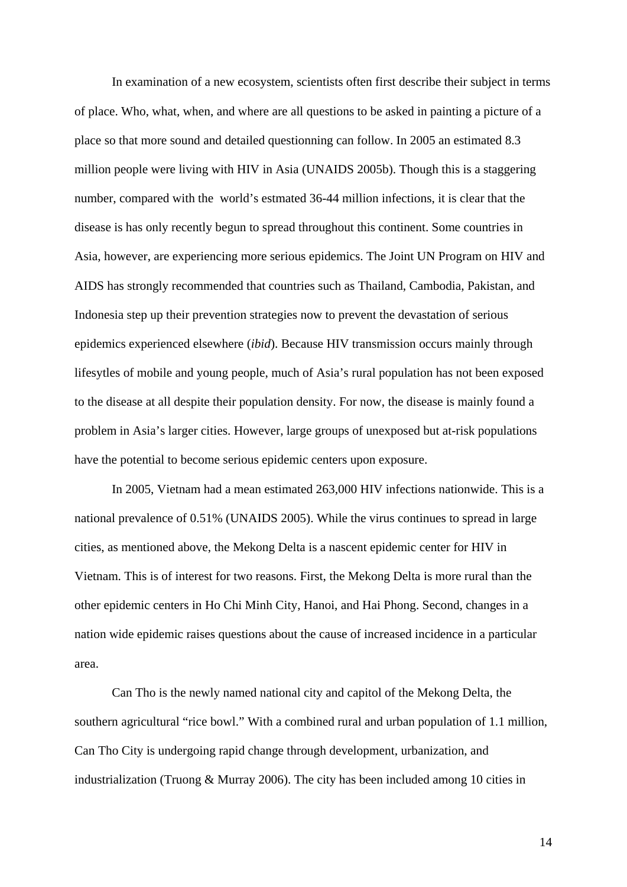In examination of a new ecosystem, scientists often first describe their subject in terms of place. Who, what, when, and where are all questions to be asked in painting a picture of a place so that more sound and detailed questionning can follow. In 2005 an estimated 8.3 million people were living with HIV in Asia (UNAIDS 2005b). Though this is a staggering number, compared with the world's estmated 36-44 million infections, it is clear that the disease is has only recently begun to spread throughout this continent. Some countries in Asia, however, are experiencing more serious epidemics. The Joint UN Program on HIV and AIDS has strongly recommended that countries such as Thailand, Cambodia, Pakistan, and Indonesia step up their prevention strategies now to prevent the devastation of serious epidemics experienced elsewhere (*ibid*). Because HIV transmission occurs mainly through lifesytles of mobile and young people, much of Asia's rural population has not been exposed to the disease at all despite their population density. For now, the disease is mainly found a problem in Asia's larger cities. However, large groups of unexposed but at-risk populations have the potential to become serious epidemic centers upon exposure.

In 2005, Vietnam had a mean estimated 263,000 HIV infections nationwide. This is a national prevalence of 0.51% (UNAIDS 2005). While the virus continues to spread in large cities, as mentioned above, the Mekong Delta is a nascent epidemic center for HIV in Vietnam. This is of interest for two reasons. First, the Mekong Delta is more rural than the other epidemic centers in Ho Chi Minh City, Hanoi, and Hai Phong. Second, changes in a nation wide epidemic raises questions about the cause of increased incidence in a particular area.

 Can Tho is the newly named national city and capitol of the Mekong Delta, the southern agricultural "rice bowl." With a combined rural and urban population of 1.1 million, Can Tho City is undergoing rapid change through development, urbanization, and industrialization (Truong & Murray 2006). The city has been included among 10 cities in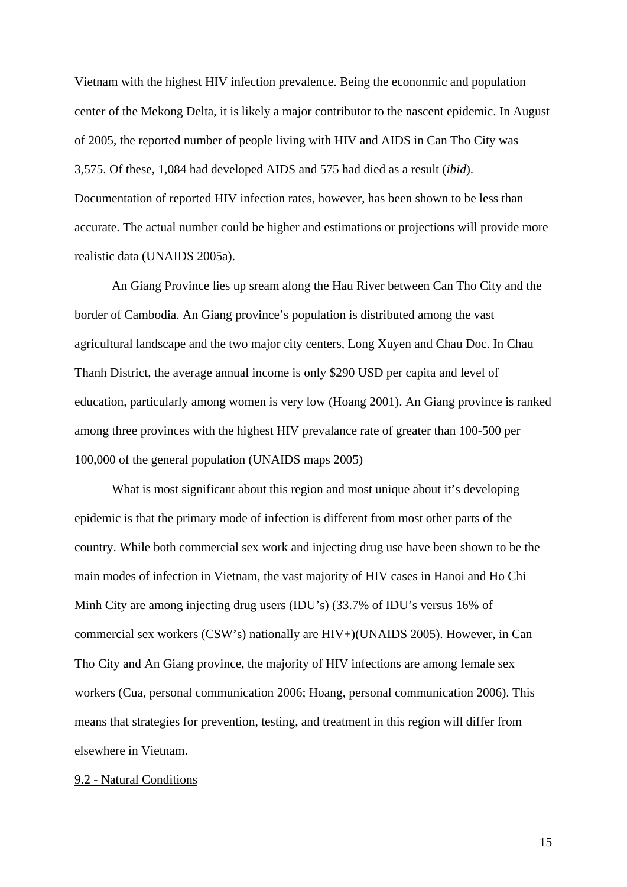Vietnam with the highest HIV infection prevalence. Being the econonmic and population center of the Mekong Delta, it is likely a major contributor to the nascent epidemic. In August of 2005, the reported number of people living with HIV and AIDS in Can Tho City was 3,575. Of these, 1,084 had developed AIDS and 575 had died as a result (*ibid*). Documentation of reported HIV infection rates, however, has been shown to be less than accurate. The actual number could be higher and estimations or projections will provide more realistic data (UNAIDS 2005a).

 An Giang Province lies up sream along the Hau River between Can Tho City and the border of Cambodia. An Giang province's population is distributed among the vast agricultural landscape and the two major city centers, Long Xuyen and Chau Doc. In Chau Thanh District, the average annual income is only \$290 USD per capita and level of education, particularly among women is very low (Hoang 2001). An Giang province is ranked among three provinces with the highest HIV prevalance rate of greater than 100-500 per 100,000 of the general population (UNAIDS maps 2005)

What is most significant about this region and most unique about it's developing epidemic is that the primary mode of infection is different from most other parts of the country. While both commercial sex work and injecting drug use have been shown to be the main modes of infection in Vietnam, the vast majority of HIV cases in Hanoi and Ho Chi Minh City are among injecting drug users (IDU's) (33.7% of IDU's versus 16% of commercial sex workers (CSW's) nationally are HIV+)(UNAIDS 2005). However, in Can Tho City and An Giang province, the majority of HIV infections are among female sex workers (Cua, personal communication 2006; Hoang, personal communication 2006). This means that strategies for prevention, testing, and treatment in this region will differ from elsewhere in Vietnam.

## 9.2 - Natural Conditions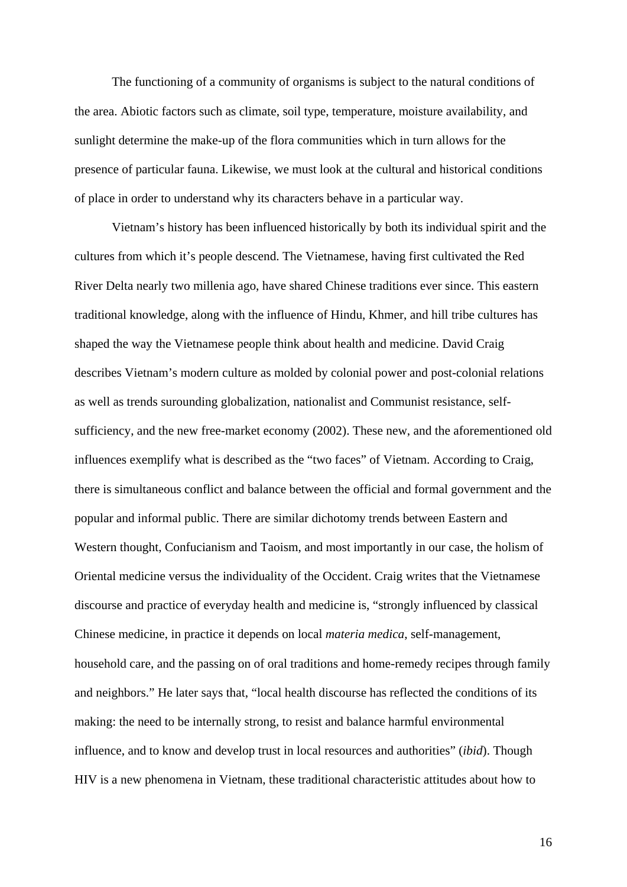The functioning of a community of organisms is subject to the natural conditions of the area. Abiotic factors such as climate, soil type, temperature, moisture availability, and sunlight determine the make-up of the flora communities which in turn allows for the presence of particular fauna. Likewise, we must look at the cultural and historical conditions of place in order to understand why its characters behave in a particular way.

 Vietnam's history has been influenced historically by both its individual spirit and the cultures from which it's people descend. The Vietnamese, having first cultivated the Red River Delta nearly two millenia ago, have shared Chinese traditions ever since. This eastern traditional knowledge, along with the influence of Hindu, Khmer, and hill tribe cultures has shaped the way the Vietnamese people think about health and medicine. David Craig describes Vietnam's modern culture as molded by colonial power and post-colonial relations as well as trends surounding globalization, nationalist and Communist resistance, selfsufficiency, and the new free-market economy (2002). These new, and the aforementioned old influences exemplify what is described as the "two faces" of Vietnam. According to Craig, there is simultaneous conflict and balance between the official and formal government and the popular and informal public. There are similar dichotomy trends between Eastern and Western thought, Confucianism and Taoism, and most importantly in our case, the holism of Oriental medicine versus the individuality of the Occident. Craig writes that the Vietnamese discourse and practice of everyday health and medicine is, "strongly influenced by classical Chinese medicine, in practice it depends on local *materia medica*, self-management, household care, and the passing on of oral traditions and home-remedy recipes through family and neighbors." He later says that, "local health discourse has reflected the conditions of its making: the need to be internally strong, to resist and balance harmful environmental influence, and to know and develop trust in local resources and authorities" (*ibid*). Though HIV is a new phenomena in Vietnam, these traditional characteristic attitudes about how to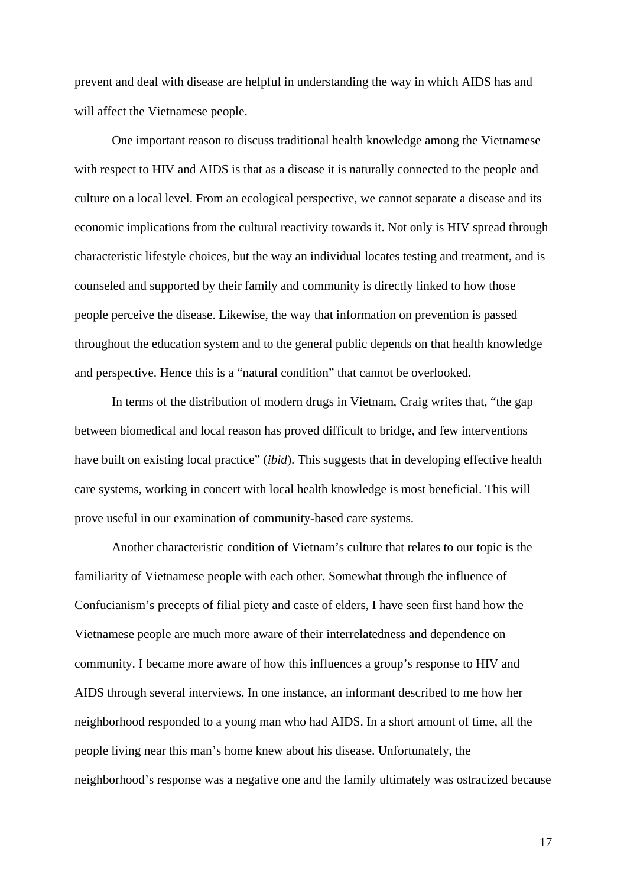prevent and deal with disease are helpful in understanding the way in which AIDS has and will affect the Vietnamese people.

 One important reason to discuss traditional health knowledge among the Vietnamese with respect to HIV and AIDS is that as a disease it is naturally connected to the people and culture on a local level. From an ecological perspective, we cannot separate a disease and its economic implications from the cultural reactivity towards it. Not only is HIV spread through characteristic lifestyle choices, but the way an individual locates testing and treatment, and is counseled and supported by their family and community is directly linked to how those people perceive the disease. Likewise, the way that information on prevention is passed throughout the education system and to the general public depends on that health knowledge and perspective. Hence this is a "natural condition" that cannot be overlooked.

 In terms of the distribution of modern drugs in Vietnam, Craig writes that, "the gap between biomedical and local reason has proved difficult to bridge, and few interventions have built on existing local practice" (*ibid*). This suggests that in developing effective health care systems, working in concert with local health knowledge is most beneficial. This will prove useful in our examination of community-based care systems.

 Another characteristic condition of Vietnam's culture that relates to our topic is the familiarity of Vietnamese people with each other. Somewhat through the influence of Confucianism's precepts of filial piety and caste of elders, I have seen first hand how the Vietnamese people are much more aware of their interrelatedness and dependence on community. I became more aware of how this influences a group's response to HIV and AIDS through several interviews. In one instance, an informant described to me how her neighborhood responded to a young man who had AIDS. In a short amount of time, all the people living near this man's home knew about his disease. Unfortunately, the neighborhood's response was a negative one and the family ultimately was ostracized because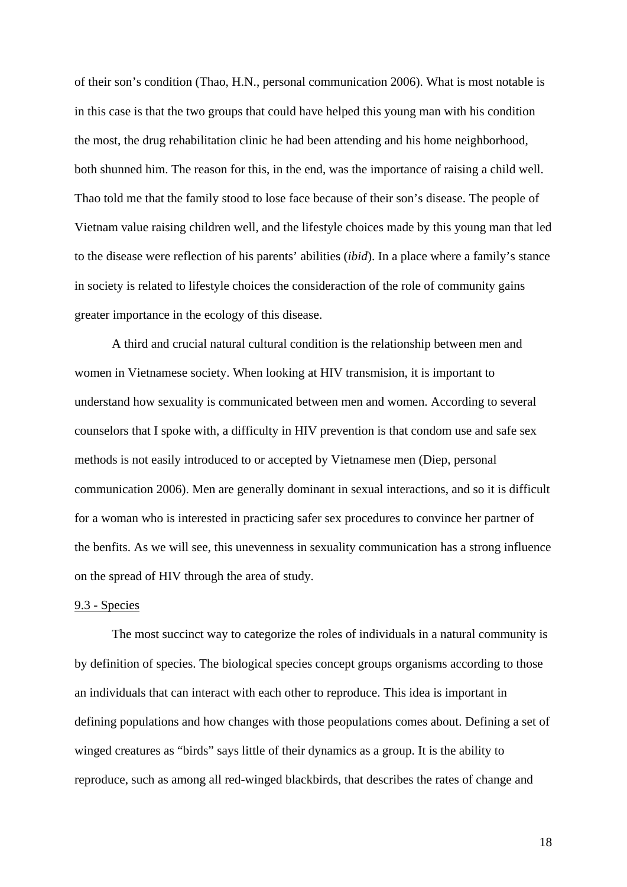of their son's condition (Thao, H.N., personal communication 2006). What is most notable is in this case is that the two groups that could have helped this young man with his condition the most, the drug rehabilitation clinic he had been attending and his home neighborhood, both shunned him. The reason for this, in the end, was the importance of raising a child well. Thao told me that the family stood to lose face because of their son's disease. The people of Vietnam value raising children well, and the lifestyle choices made by this young man that led to the disease were reflection of his parents' abilities (*ibid*). In a place where a family's stance in society is related to lifestyle choices the consideraction of the role of community gains greater importance in the ecology of this disease.

 A third and crucial natural cultural condition is the relationship between men and women in Vietnamese society. When looking at HIV transmision, it is important to understand how sexuality is communicated between men and women. According to several counselors that I spoke with, a difficulty in HIV prevention is that condom use and safe sex methods is not easily introduced to or accepted by Vietnamese men (Diep, personal communication 2006). Men are generally dominant in sexual interactions, and so it is difficult for a woman who is interested in practicing safer sex procedures to convince her partner of the benfits. As we will see, this unevenness in sexuality communication has a strong influence on the spread of HIV through the area of study.

### 9.3 - Species

 The most succinct way to categorize the roles of individuals in a natural community is by definition of species. The biological species concept groups organisms according to those an individuals that can interact with each other to reproduce. This idea is important in defining populations and how changes with those peopulations comes about. Defining a set of winged creatures as "birds" says little of their dynamics as a group. It is the ability to reproduce, such as among all red-winged blackbirds, that describes the rates of change and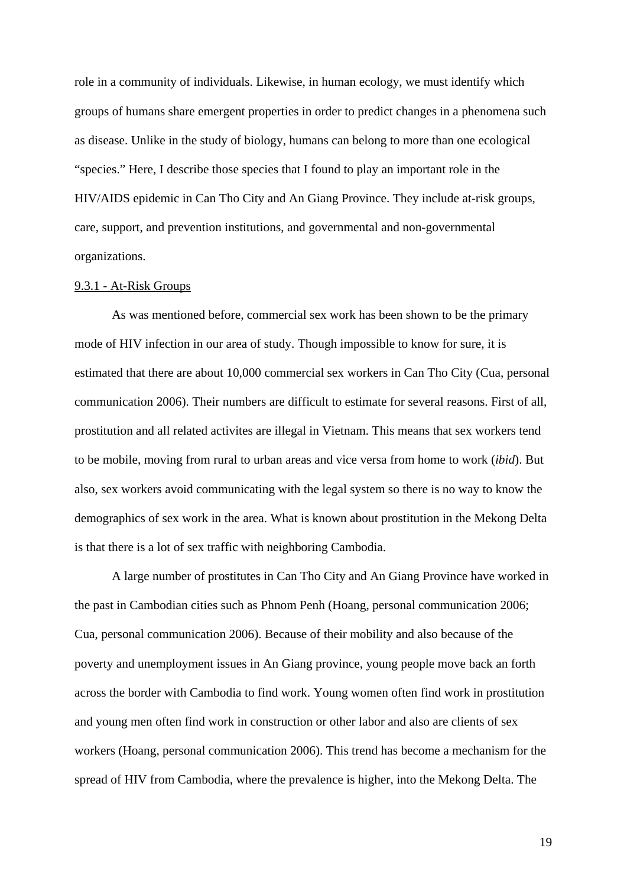role in a community of individuals. Likewise, in human ecology, we must identify which groups of humans share emergent properties in order to predict changes in a phenomena such as disease. Unlike in the study of biology, humans can belong to more than one ecological "species." Here, I describe those species that I found to play an important role in the HIV/AIDS epidemic in Can Tho City and An Giang Province. They include at-risk groups, care, support, and prevention institutions, and governmental and non-governmental organizations.

## 9.3.1 - At-Risk Groups

 As was mentioned before, commercial sex work has been shown to be the primary mode of HIV infection in our area of study. Though impossible to know for sure, it is estimated that there are about 10,000 commercial sex workers in Can Tho City (Cua, personal communication 2006). Their numbers are difficult to estimate for several reasons. First of all, prostitution and all related activites are illegal in Vietnam. This means that sex workers tend to be mobile, moving from rural to urban areas and vice versa from home to work (*ibid*). But also, sex workers avoid communicating with the legal system so there is no way to know the demographics of sex work in the area. What is known about prostitution in the Mekong Delta is that there is a lot of sex traffic with neighboring Cambodia.

 A large number of prostitutes in Can Tho City and An Giang Province have worked in the past in Cambodian cities such as Phnom Penh (Hoang, personal communication 2006; Cua, personal communication 2006). Because of their mobility and also because of the poverty and unemployment issues in An Giang province, young people move back an forth across the border with Cambodia to find work. Young women often find work in prostitution and young men often find work in construction or other labor and also are clients of sex workers (Hoang, personal communication 2006). This trend has become a mechanism for the spread of HIV from Cambodia, where the prevalence is higher, into the Mekong Delta. The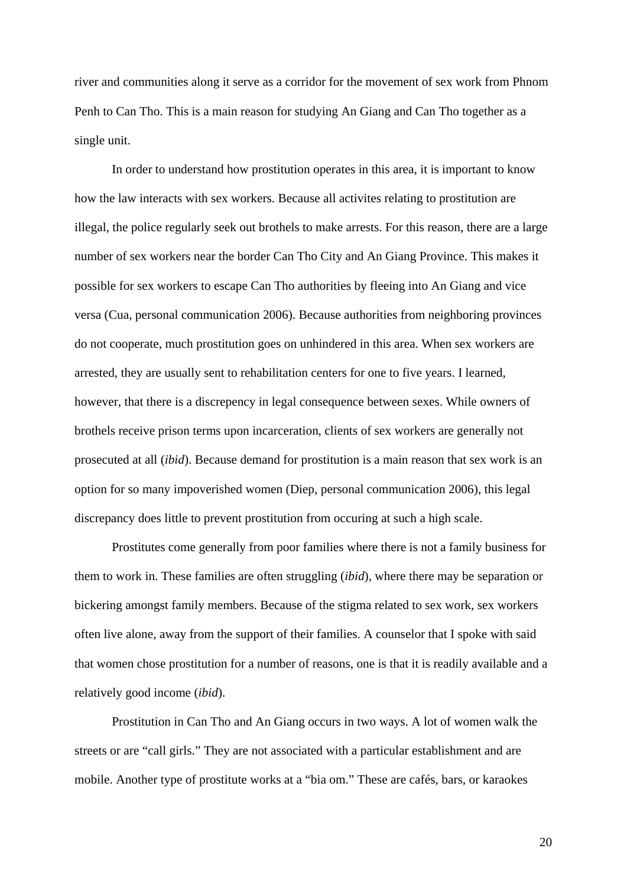river and communities along it serve as a corridor for the movement of sex work from Phnom Penh to Can Tho. This is a main reason for studying An Giang and Can Tho together as a single unit.

 In order to understand how prostitution operates in this area, it is important to know how the law interacts with sex workers. Because all activites relating to prostitution are illegal, the police regularly seek out brothels to make arrests. For this reason, there are a large number of sex workers near the border Can Tho City and An Giang Province. This makes it possible for sex workers to escape Can Tho authorities by fleeing into An Giang and vice versa (Cua, personal communication 2006). Because authorities from neighboring provinces do not cooperate, much prostitution goes on unhindered in this area. When sex workers are arrested, they are usually sent to rehabilitation centers for one to five years. I learned, however, that there is a discrepency in legal consequence between sexes. While owners of brothels receive prison terms upon incarceration, clients of sex workers are generally not prosecuted at all (*ibid*). Because demand for prostitution is a main reason that sex work is an option for so many impoverished women (Diep, personal communication 2006), this legal discrepancy does little to prevent prostitution from occuring at such a high scale.

 Prostitutes come generally from poor families where there is not a family business for them to work in. These families are often struggling (*ibid*), where there may be separation or bickering amongst family members. Because of the stigma related to sex work, sex workers often live alone, away from the support of their families. A counselor that I spoke with said that women chose prostitution for a number of reasons, one is that it is readily available and a relatively good income (*ibid*).

 Prostitution in Can Tho and An Giang occurs in two ways. A lot of women walk the streets or are "call girls." They are not associated with a particular establishment and are mobile. Another type of prostitute works at a "bia om." These are cafés, bars, or karaokes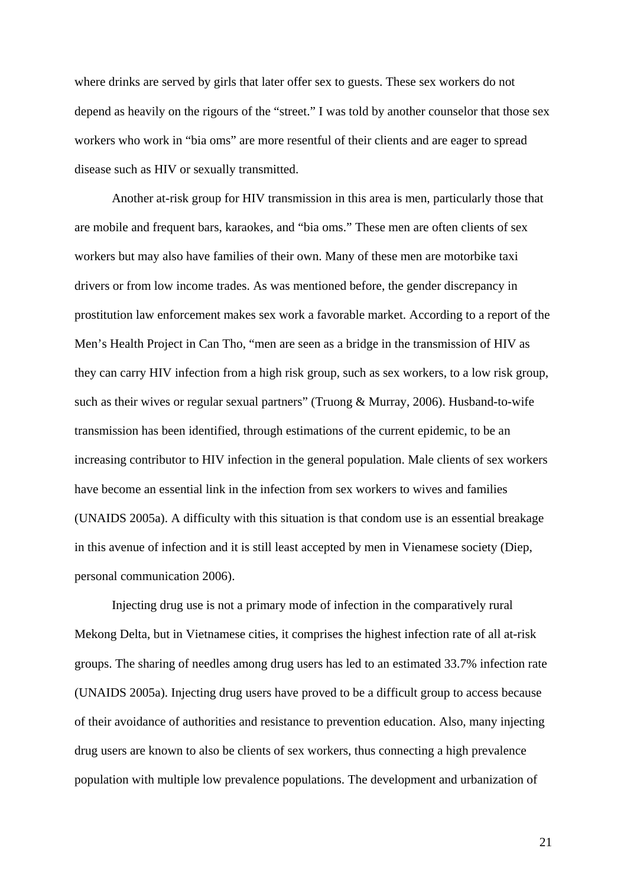where drinks are served by girls that later offer sex to guests. These sex workers do not depend as heavily on the rigours of the "street." I was told by another counselor that those sex workers who work in "bia oms" are more resentful of their clients and are eager to spread disease such as HIV or sexually transmitted.

 Another at-risk group for HIV transmission in this area is men, particularly those that are mobile and frequent bars, karaokes, and "bia oms." These men are often clients of sex workers but may also have families of their own. Many of these men are motorbike taxi drivers or from low income trades. As was mentioned before, the gender discrepancy in prostitution law enforcement makes sex work a favorable market. According to a report of the Men's Health Project in Can Tho, "men are seen as a bridge in the transmission of HIV as they can carry HIV infection from a high risk group, such as sex workers, to a low risk group, such as their wives or regular sexual partners" (Truong & Murray, 2006). Husband-to-wife transmission has been identified, through estimations of the current epidemic, to be an increasing contributor to HIV infection in the general population. Male clients of sex workers have become an essential link in the infection from sex workers to wives and families (UNAIDS 2005a). A difficulty with this situation is that condom use is an essential breakage in this avenue of infection and it is still least accepted by men in Vienamese society (Diep, personal communication 2006).

 Injecting drug use is not a primary mode of infection in the comparatively rural Mekong Delta, but in Vietnamese cities, it comprises the highest infection rate of all at-risk groups. The sharing of needles among drug users has led to an estimated 33.7% infection rate (UNAIDS 2005a). Injecting drug users have proved to be a difficult group to access because of their avoidance of authorities and resistance to prevention education. Also, many injecting drug users are known to also be clients of sex workers, thus connecting a high prevalence population with multiple low prevalence populations. The development and urbanization of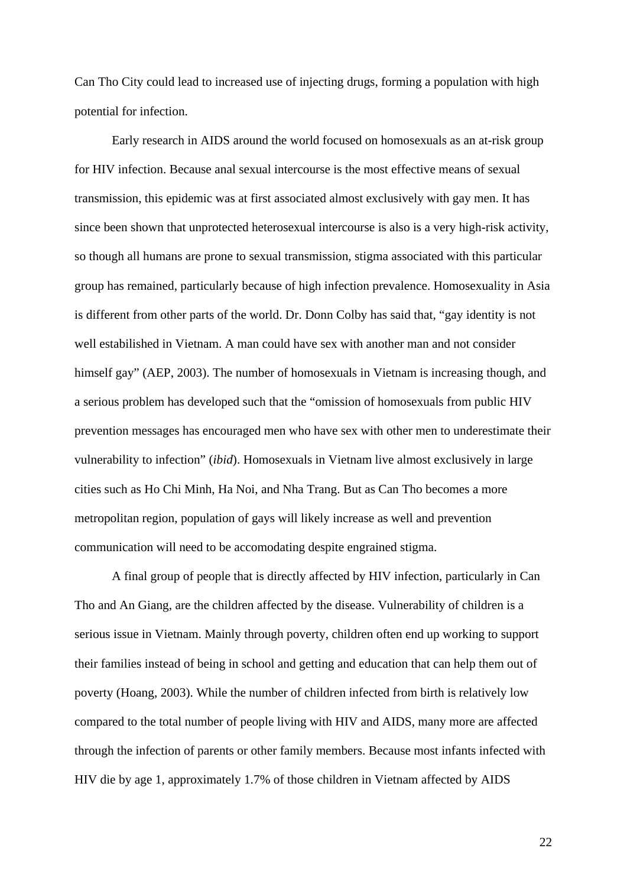Can Tho City could lead to increased use of injecting drugs, forming a population with high potential for infection.

 Early research in AIDS around the world focused on homosexuals as an at-risk group for HIV infection. Because anal sexual intercourse is the most effective means of sexual transmission, this epidemic was at first associated almost exclusively with gay men. It has since been shown that unprotected heterosexual intercourse is also is a very high-risk activity, so though all humans are prone to sexual transmission, stigma associated with this particular group has remained, particularly because of high infection prevalence. Homosexuality in Asia is different from other parts of the world. Dr. Donn Colby has said that, "gay identity is not well estabilished in Vietnam. A man could have sex with another man and not consider himself gay" (AEP, 2003). The number of homosexuals in Vietnam is increasing though, and a serious problem has developed such that the "omission of homosexuals from public HIV prevention messages has encouraged men who have sex with other men to underestimate their vulnerability to infection" (*ibid*). Homosexuals in Vietnam live almost exclusively in large cities such as Ho Chi Minh, Ha Noi, and Nha Trang. But as Can Tho becomes a more metropolitan region, population of gays will likely increase as well and prevention communication will need to be accomodating despite engrained stigma.

 A final group of people that is directly affected by HIV infection, particularly in Can Tho and An Giang, are the children affected by the disease. Vulnerability of children is a serious issue in Vietnam. Mainly through poverty, children often end up working to support their families instead of being in school and getting and education that can help them out of poverty (Hoang, 2003). While the number of children infected from birth is relatively low compared to the total number of people living with HIV and AIDS, many more are affected through the infection of parents or other family members. Because most infants infected with HIV die by age 1, approximately 1.7% of those children in Vietnam affected by AIDS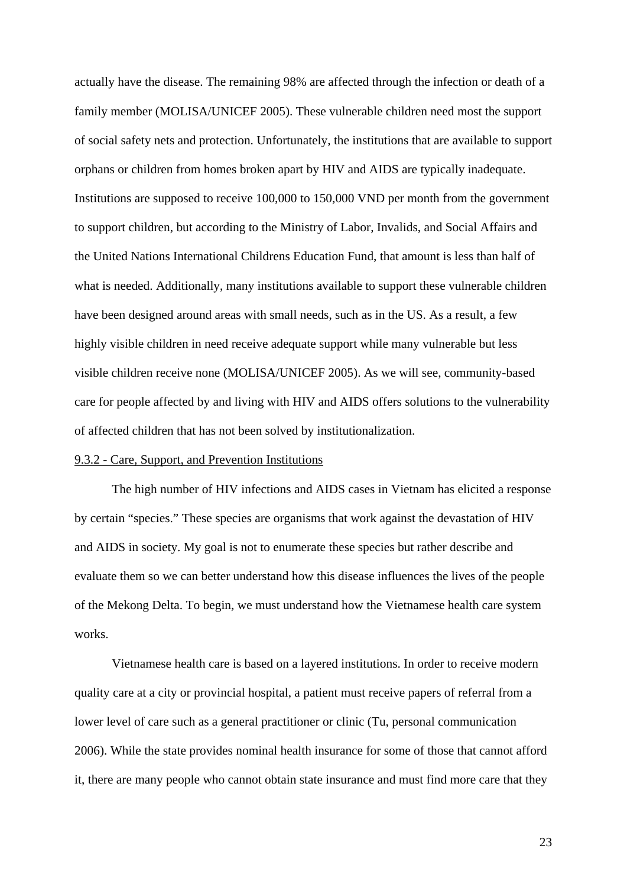actually have the disease. The remaining 98% are affected through the infection or death of a family member (MOLISA/UNICEF 2005). These vulnerable children need most the support of social safety nets and protection. Unfortunately, the institutions that are available to support orphans or children from homes broken apart by HIV and AIDS are typically inadequate. Institutions are supposed to receive 100,000 to 150,000 VND per month from the government to support children, but according to the Ministry of Labor, Invalids, and Social Affairs and the United Nations International Childrens Education Fund, that amount is less than half of what is needed. Additionally, many institutions available to support these vulnerable children have been designed around areas with small needs, such as in the US. As a result, a few highly visible children in need receive adequate support while many vulnerable but less visible children receive none (MOLISA/UNICEF 2005). As we will see, community-based care for people affected by and living with HIV and AIDS offers solutions to the vulnerability of affected children that has not been solved by institutionalization.

## 9.3.2 - Care, Support, and Prevention Institutions

 The high number of HIV infections and AIDS cases in Vietnam has elicited a response by certain "species." These species are organisms that work against the devastation of HIV and AIDS in society. My goal is not to enumerate these species but rather describe and evaluate them so we can better understand how this disease influences the lives of the people of the Mekong Delta. To begin, we must understand how the Vietnamese health care system works.

 Vietnamese health care is based on a layered institutions. In order to receive modern quality care at a city or provincial hospital, a patient must receive papers of referral from a lower level of care such as a general practitioner or clinic (Tu, personal communication 2006). While the state provides nominal health insurance for some of those that cannot afford it, there are many people who cannot obtain state insurance and must find more care that they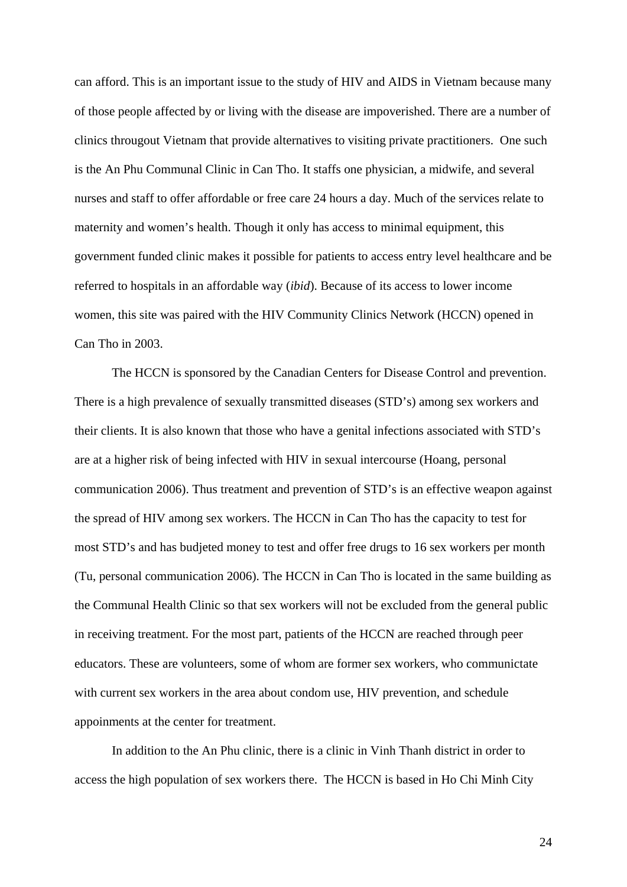can afford. This is an important issue to the study of HIV and AIDS in Vietnam because many of those people affected by or living with the disease are impoverished. There are a number of clinics througout Vietnam that provide alternatives to visiting private practitioners. One such is the An Phu Communal Clinic in Can Tho. It staffs one physician, a midwife, and several nurses and staff to offer affordable or free care 24 hours a day. Much of the services relate to maternity and women's health. Though it only has access to minimal equipment, this government funded clinic makes it possible for patients to access entry level healthcare and be referred to hospitals in an affordable way (*ibid*). Because of its access to lower income women, this site was paired with the HIV Community Clinics Network (HCCN) opened in Can Tho in 2003.

 The HCCN is sponsored by the Canadian Centers for Disease Control and prevention. There is a high prevalence of sexually transmitted diseases (STD's) among sex workers and their clients. It is also known that those who have a genital infections associated with STD's are at a higher risk of being infected with HIV in sexual intercourse (Hoang, personal communication 2006). Thus treatment and prevention of STD's is an effective weapon against the spread of HIV among sex workers. The HCCN in Can Tho has the capacity to test for most STD's and has budjeted money to test and offer free drugs to 16 sex workers per month (Tu, personal communication 2006). The HCCN in Can Tho is located in the same building as the Communal Health Clinic so that sex workers will not be excluded from the general public in receiving treatment. For the most part, patients of the HCCN are reached through peer educators. These are volunteers, some of whom are former sex workers, who communictate with current sex workers in the area about condom use, HIV prevention, and schedule appoinments at the center for treatment.

In addition to the An Phu clinic, there is a clinic in Vinh Thanh district in order to access the high population of sex workers there. The HCCN is based in Ho Chi Minh City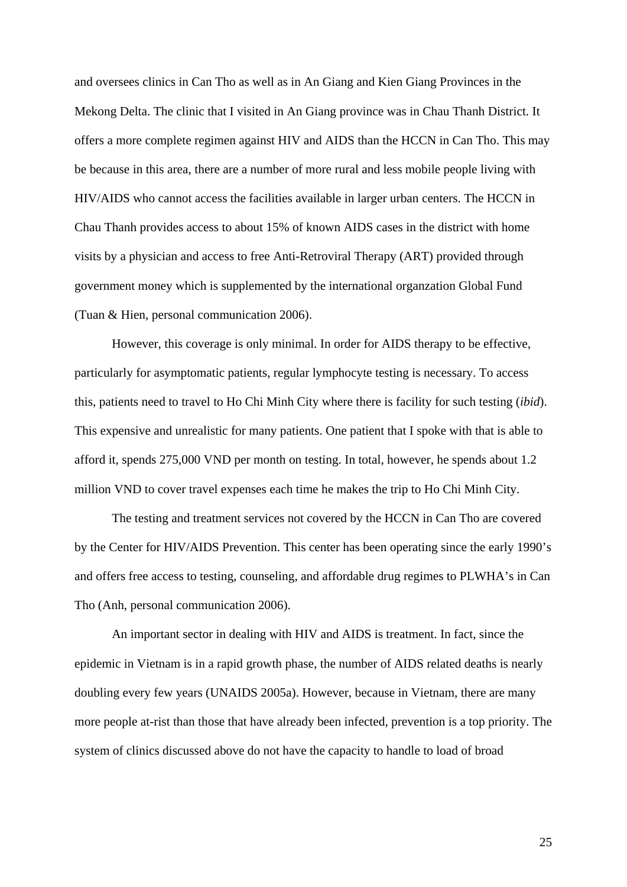and oversees clinics in Can Tho as well as in An Giang and Kien Giang Provinces in the Mekong Delta. The clinic that I visited in An Giang province was in Chau Thanh District. It offers a more complete regimen against HIV and AIDS than the HCCN in Can Tho. This may be because in this area, there are a number of more rural and less mobile people living with HIV/AIDS who cannot access the facilities available in larger urban centers. The HCCN in Chau Thanh provides access to about 15% of known AIDS cases in the district with home visits by a physician and access to free Anti-Retroviral Therapy (ART) provided through government money which is supplemented by the international organzation Global Fund (Tuan & Hien, personal communication 2006).

However, this coverage is only minimal. In order for AIDS therapy to be effective, particularly for asymptomatic patients, regular lymphocyte testing is necessary. To access this, patients need to travel to Ho Chi Minh City where there is facility for such testing (*ibid*). This expensive and unrealistic for many patients. One patient that I spoke with that is able to afford it, spends 275,000 VND per month on testing. In total, however, he spends about 1.2 million VND to cover travel expenses each time he makes the trip to Ho Chi Minh City.

The testing and treatment services not covered by the HCCN in Can Tho are covered by the Center for HIV/AIDS Prevention. This center has been operating since the early 1990's and offers free access to testing, counseling, and affordable drug regimes to PLWHA's in Can Tho (Anh, personal communication 2006).

An important sector in dealing with HIV and AIDS is treatment. In fact, since the epidemic in Vietnam is in a rapid growth phase, the number of AIDS related deaths is nearly doubling every few years (UNAIDS 2005a). However, because in Vietnam, there are many more people at-rist than those that have already been infected, prevention is a top priority. The system of clinics discussed above do not have the capacity to handle to load of broad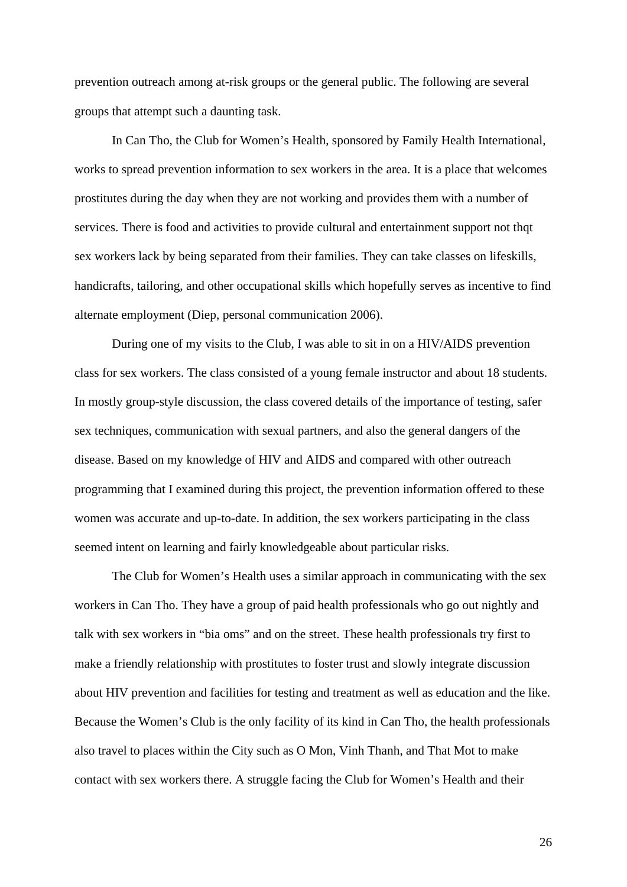prevention outreach among at-risk groups or the general public. The following are several groups that attempt such a daunting task.

 In Can Tho, the Club for Women's Health, sponsored by Family Health International, works to spread prevention information to sex workers in the area. It is a place that welcomes prostitutes during the day when they are not working and provides them with a number of services. There is food and activities to provide cultural and entertainment support not thqt sex workers lack by being separated from their families. They can take classes on lifeskills, handicrafts, tailoring, and other occupational skills which hopefully serves as incentive to find alternate employment (Diep, personal communication 2006).

 During one of my visits to the Club, I was able to sit in on a HIV/AIDS prevention class for sex workers. The class consisted of a young female instructor and about 18 students. In mostly group-style discussion, the class covered details of the importance of testing, safer sex techniques, communication with sexual partners, and also the general dangers of the disease. Based on my knowledge of HIV and AIDS and compared with other outreach programming that I examined during this project, the prevention information offered to these women was accurate and up-to-date. In addition, the sex workers participating in the class seemed intent on learning and fairly knowledgeable about particular risks.

 The Club for Women's Health uses a similar approach in communicating with the sex workers in Can Tho. They have a group of paid health professionals who go out nightly and talk with sex workers in "bia oms" and on the street. These health professionals try first to make a friendly relationship with prostitutes to foster trust and slowly integrate discussion about HIV prevention and facilities for testing and treatment as well as education and the like. Because the Women's Club is the only facility of its kind in Can Tho, the health professionals also travel to places within the City such as O Mon, Vinh Thanh, and That Mot to make contact with sex workers there. A struggle facing the Club for Women's Health and their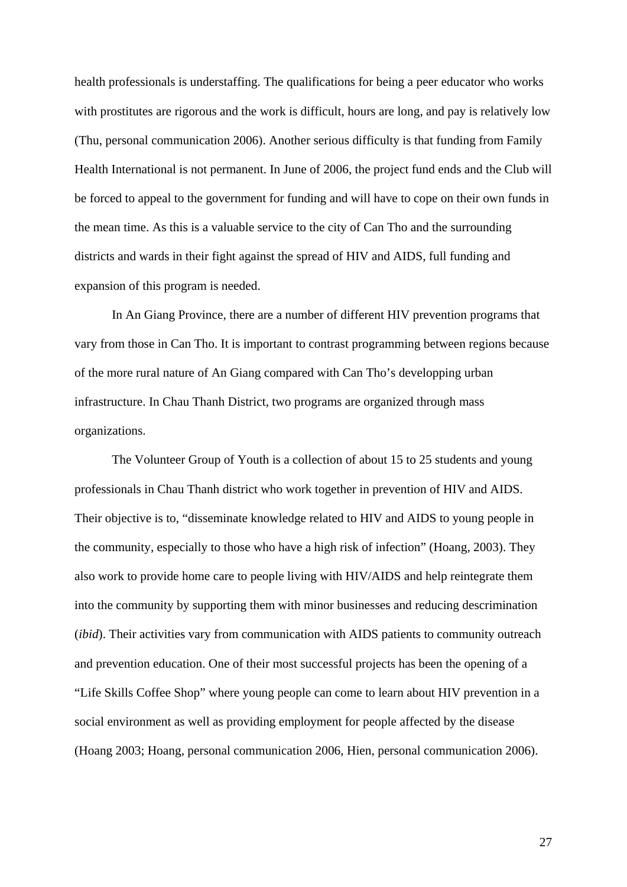health professionals is understaffing. The qualifications for being a peer educator who works with prostitutes are rigorous and the work is difficult, hours are long, and pay is relatively low (Thu, personal communication 2006). Another serious difficulty is that funding from Family Health International is not permanent. In June of 2006, the project fund ends and the Club will be forced to appeal to the government for funding and will have to cope on their own funds in the mean time. As this is a valuable service to the city of Can Tho and the surrounding districts and wards in their fight against the spread of HIV and AIDS, full funding and expansion of this program is needed.

 In An Giang Province, there are a number of different HIV prevention programs that vary from those in Can Tho. It is important to contrast programming between regions because of the more rural nature of An Giang compared with Can Tho's developping urban infrastructure. In Chau Thanh District, two programs are organized through mass organizations.

 The Volunteer Group of Youth is a collection of about 15 to 25 students and young professionals in Chau Thanh district who work together in prevention of HIV and AIDS. Their objective is to, "disseminate knowledge related to HIV and AIDS to young people in the community, especially to those who have a high risk of infection" (Hoang, 2003). They also work to provide home care to people living with HIV/AIDS and help reintegrate them into the community by supporting them with minor businesses and reducing descrimination (*ibid*). Their activities vary from communication with AIDS patients to community outreach and prevention education. One of their most successful projects has been the opening of a "Life Skills Coffee Shop" where young people can come to learn about HIV prevention in a social environment as well as providing employment for people affected by the disease (Hoang 2003; Hoang, personal communication 2006, Hien, personal communication 2006).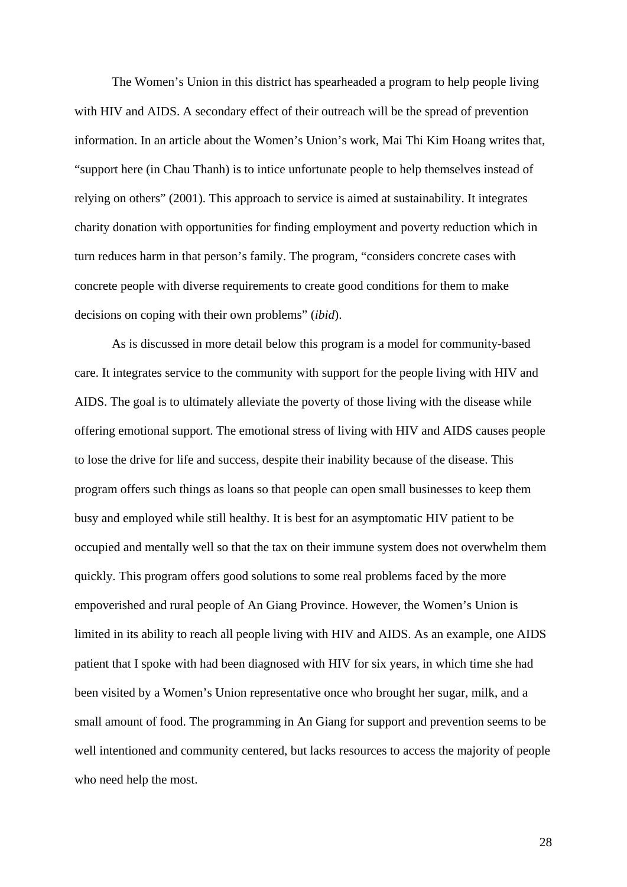The Women's Union in this district has spearheaded a program to help people living with HIV and AIDS. A secondary effect of their outreach will be the spread of prevention information. In an article about the Women's Union's work, Mai Thi Kim Hoang writes that, "support here (in Chau Thanh) is to intice unfortunate people to help themselves instead of relying on others" (2001). This approach to service is aimed at sustainability. It integrates charity donation with opportunities for finding employment and poverty reduction which in turn reduces harm in that person's family. The program, "considers concrete cases with concrete people with diverse requirements to create good conditions for them to make decisions on coping with their own problems" (*ibid*).

 As is discussed in more detail below this program is a model for community-based care. It integrates service to the community with support for the people living with HIV and AIDS. The goal is to ultimately alleviate the poverty of those living with the disease while offering emotional support. The emotional stress of living with HIV and AIDS causes people to lose the drive for life and success, despite their inability because of the disease. This program offers such things as loans so that people can open small businesses to keep them busy and employed while still healthy. It is best for an asymptomatic HIV patient to be occupied and mentally well so that the tax on their immune system does not overwhelm them quickly. This program offers good solutions to some real problems faced by the more empoverished and rural people of An Giang Province. However, the Women's Union is limited in its ability to reach all people living with HIV and AIDS. As an example, one AIDS patient that I spoke with had been diagnosed with HIV for six years, in which time she had been visited by a Women's Union representative once who brought her sugar, milk, and a small amount of food. The programming in An Giang for support and prevention seems to be well intentioned and community centered, but lacks resources to access the majority of people who need help the most.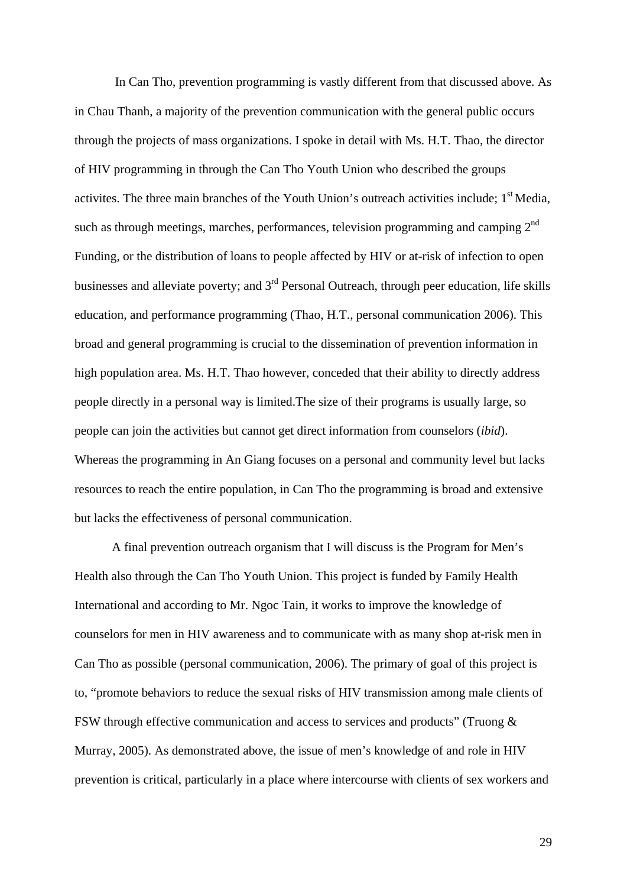In Can Tho, prevention programming is vastly different from that discussed above. As in Chau Thanh, a majority of the prevention communication with the general public occurs through the projects of mass organizations. I spoke in detail with Ms. H.T. Thao, the director of HIV programming in through the Can Tho Youth Union who described the groups activites. The three main branches of the Youth Union's outreach activities include;  $1<sup>st</sup>$  Media, such as through meetings, marches, performances, television programming and camping  $2^{nd}$ Funding, or the distribution of loans to people affected by HIV or at-risk of infection to open businesses and alleviate poverty; and  $3<sup>rd</sup>$  Personal Outreach, through peer education, life skills education, and performance programming (Thao, H.T., personal communication 2006). This broad and general programming is crucial to the dissemination of prevention information in high population area. Ms. H.T. Thao however, conceded that their ability to directly address people directly in a personal way is limited.The size of their programs is usually large, so people can join the activities but cannot get direct information from counselors (*ibid*). Whereas the programming in An Giang focuses on a personal and community level but lacks resources to reach the entire population, in Can Tho the programming is broad and extensive but lacks the effectiveness of personal communication.

 A final prevention outreach organism that I will discuss is the Program for Men's Health also through the Can Tho Youth Union. This project is funded by Family Health International and according to Mr. Ngoc Tain, it works to improve the knowledge of counselors for men in HIV awareness and to communicate with as many shop at-risk men in Can Tho as possible (personal communication, 2006). The primary of goal of this project is to, "promote behaviors to reduce the sexual risks of HIV transmission among male clients of FSW through effective communication and access to services and products" (Truong & Murray, 2005). As demonstrated above, the issue of men's knowledge of and role in HIV prevention is critical, particularly in a place where intercourse with clients of sex workers and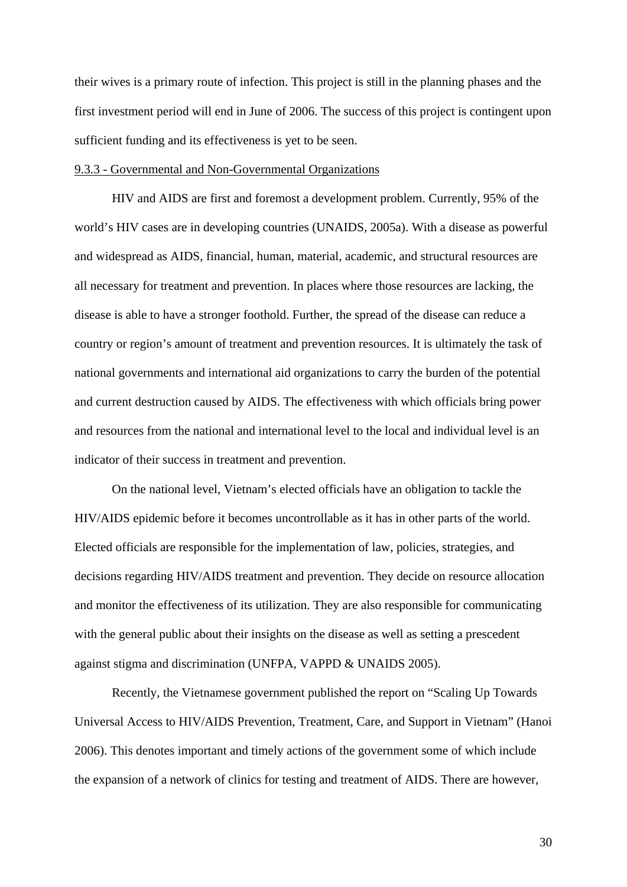their wives is a primary route of infection. This project is still in the planning phases and the first investment period will end in June of 2006. The success of this project is contingent upon sufficient funding and its effectiveness is yet to be seen.

### 9.3.3 - Governmental and Non-Governmental Organizations

HIV and AIDS are first and foremost a development problem. Currently, 95% of the world's HIV cases are in developing countries (UNAIDS, 2005a). With a disease as powerful and widespread as AIDS, financial, human, material, academic, and structural resources are all necessary for treatment and prevention. In places where those resources are lacking, the disease is able to have a stronger foothold. Further, the spread of the disease can reduce a country or region's amount of treatment and prevention resources. It is ultimately the task of national governments and international aid organizations to carry the burden of the potential and current destruction caused by AIDS. The effectiveness with which officials bring power and resources from the national and international level to the local and individual level is an indicator of their success in treatment and prevention.

On the national level, Vietnam's elected officials have an obligation to tackle the HIV/AIDS epidemic before it becomes uncontrollable as it has in other parts of the world. Elected officials are responsible for the implementation of law, policies, strategies, and decisions regarding HIV/AIDS treatment and prevention. They decide on resource allocation and monitor the effectiveness of its utilization. They are also responsible for communicating with the general public about their insights on the disease as well as setting a prescedent against stigma and discrimination (UNFPA, VAPPD & UNAIDS 2005).

Recently, the Vietnamese government published the report on "Scaling Up Towards Universal Access to HIV/AIDS Prevention, Treatment, Care, and Support in Vietnam" (Hanoi 2006). This denotes important and timely actions of the government some of which include the expansion of a network of clinics for testing and treatment of AIDS. There are however,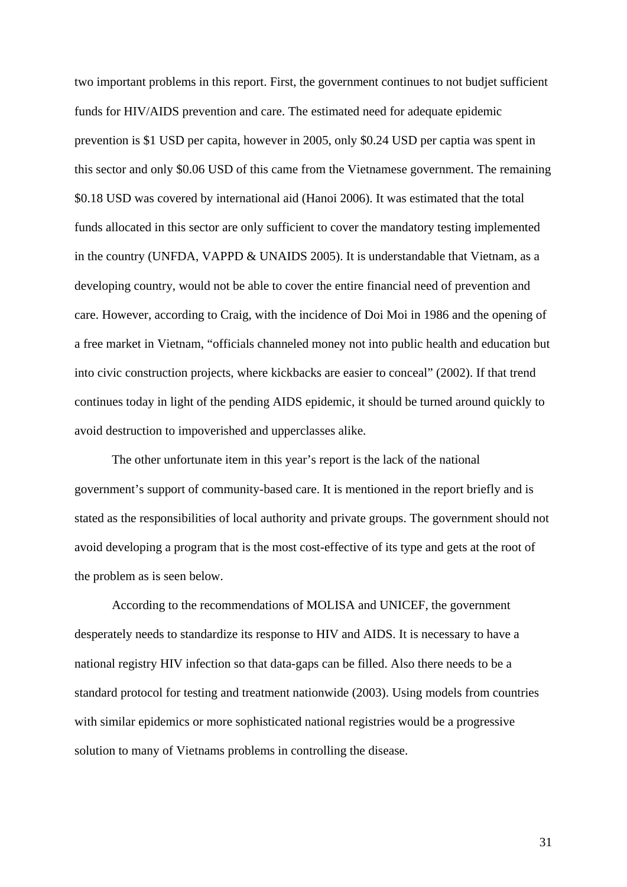two important problems in this report. First, the government continues to not budjet sufficient funds for HIV/AIDS prevention and care. The estimated need for adequate epidemic prevention is \$1 USD per capita, however in 2005, only \$0.24 USD per captia was spent in this sector and only \$0.06 USD of this came from the Vietnamese government. The remaining \$0.18 USD was covered by international aid (Hanoi 2006). It was estimated that the total funds allocated in this sector are only sufficient to cover the mandatory testing implemented in the country (UNFDA, VAPPD & UNAIDS 2005). It is understandable that Vietnam, as a developing country, would not be able to cover the entire financial need of prevention and care. However, according to Craig, with the incidence of Doi Moi in 1986 and the opening of a free market in Vietnam, "officials channeled money not into public health and education but into civic construction projects, where kickbacks are easier to conceal" (2002). If that trend continues today in light of the pending AIDS epidemic, it should be turned around quickly to avoid destruction to impoverished and upperclasses alike.

The other unfortunate item in this year's report is the lack of the national government's support of community-based care. It is mentioned in the report briefly and is stated as the responsibilities of local authority and private groups. The government should not avoid developing a program that is the most cost-effective of its type and gets at the root of the problem as is seen below.

According to the recommendations of MOLISA and UNICEF, the government desperately needs to standardize its response to HIV and AIDS. It is necessary to have a national registry HIV infection so that data-gaps can be filled. Also there needs to be a standard protocol for testing and treatment nationwide (2003). Using models from countries with similar epidemics or more sophisticated national registries would be a progressive solution to many of Vietnams problems in controlling the disease.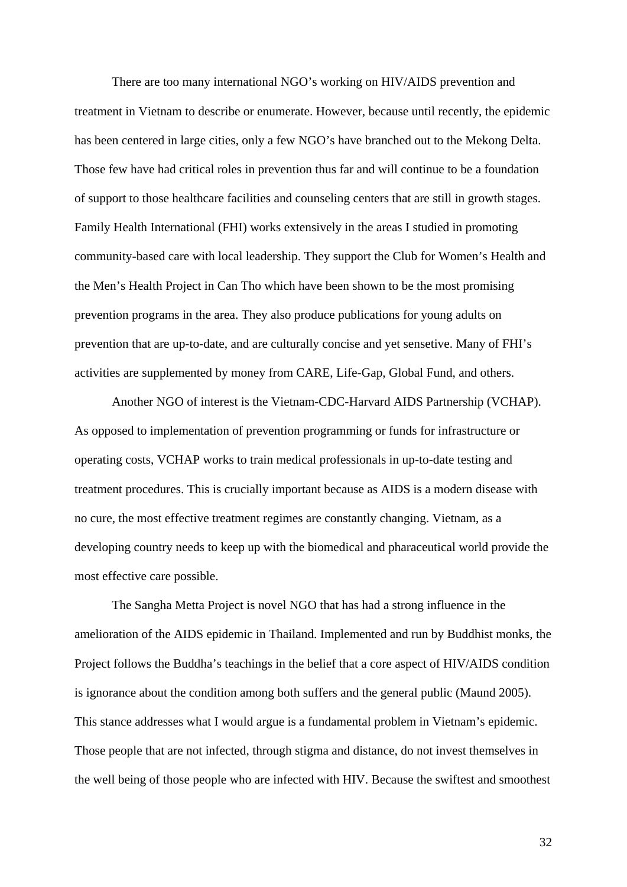There are too many international NGO's working on HIV/AIDS prevention and treatment in Vietnam to describe or enumerate. However, because until recently, the epidemic has been centered in large cities, only a few NGO's have branched out to the Mekong Delta. Those few have had critical roles in prevention thus far and will continue to be a foundation of support to those healthcare facilities and counseling centers that are still in growth stages. Family Health International (FHI) works extensively in the areas I studied in promoting community-based care with local leadership. They support the Club for Women's Health and the Men's Health Project in Can Tho which have been shown to be the most promising prevention programs in the area. They also produce publications for young adults on prevention that are up-to-date, and are culturally concise and yet sensetive. Many of FHI's activities are supplemented by money from CARE, Life-Gap, Global Fund, and others.

Another NGO of interest is the Vietnam-CDC-Harvard AIDS Partnership (VCHAP). As opposed to implementation of prevention programming or funds for infrastructure or operating costs, VCHAP works to train medical professionals in up-to-date testing and treatment procedures. This is crucially important because as AIDS is a modern disease with no cure, the most effective treatment regimes are constantly changing. Vietnam, as a developing country needs to keep up with the biomedical and pharaceutical world provide the most effective care possible.

The Sangha Metta Project is novel NGO that has had a strong influence in the amelioration of the AIDS epidemic in Thailand. Implemented and run by Buddhist monks, the Project follows the Buddha's teachings in the belief that a core aspect of HIV/AIDS condition is ignorance about the condition among both suffers and the general public (Maund 2005). This stance addresses what I would argue is a fundamental problem in Vietnam's epidemic. Those people that are not infected, through stigma and distance, do not invest themselves in the well being of those people who are infected with HIV. Because the swiftest and smoothest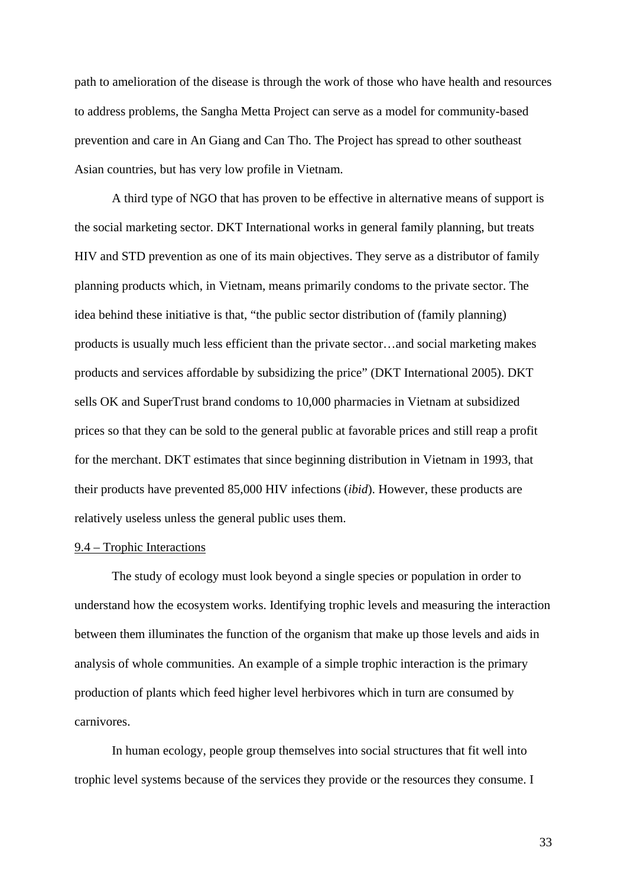path to amelioration of the disease is through the work of those who have health and resources to address problems, the Sangha Metta Project can serve as a model for community-based prevention and care in An Giang and Can Tho. The Project has spread to other southeast Asian countries, but has very low profile in Vietnam.

A third type of NGO that has proven to be effective in alternative means of support is the social marketing sector. DKT International works in general family planning, but treats HIV and STD prevention as one of its main objectives. They serve as a distributor of family planning products which, in Vietnam, means primarily condoms to the private sector. The idea behind these initiative is that, "the public sector distribution of (family planning) products is usually much less efficient than the private sector…and social marketing makes products and services affordable by subsidizing the price" (DKT International 2005). DKT sells OK and SuperTrust brand condoms to 10,000 pharmacies in Vietnam at subsidized prices so that they can be sold to the general public at favorable prices and still reap a profit for the merchant. DKT estimates that since beginning distribution in Vietnam in 1993, that their products have prevented 85,000 HIV infections (*ibid*). However, these products are relatively useless unless the general public uses them.

### 9.4 – Trophic Interactions

 The study of ecology must look beyond a single species or population in order to understand how the ecosystem works. Identifying trophic levels and measuring the interaction between them illuminates the function of the organism that make up those levels and aids in analysis of whole communities. An example of a simple trophic interaction is the primary production of plants which feed higher level herbivores which in turn are consumed by carnivores.

In human ecology, people group themselves into social structures that fit well into trophic level systems because of the services they provide or the resources they consume. I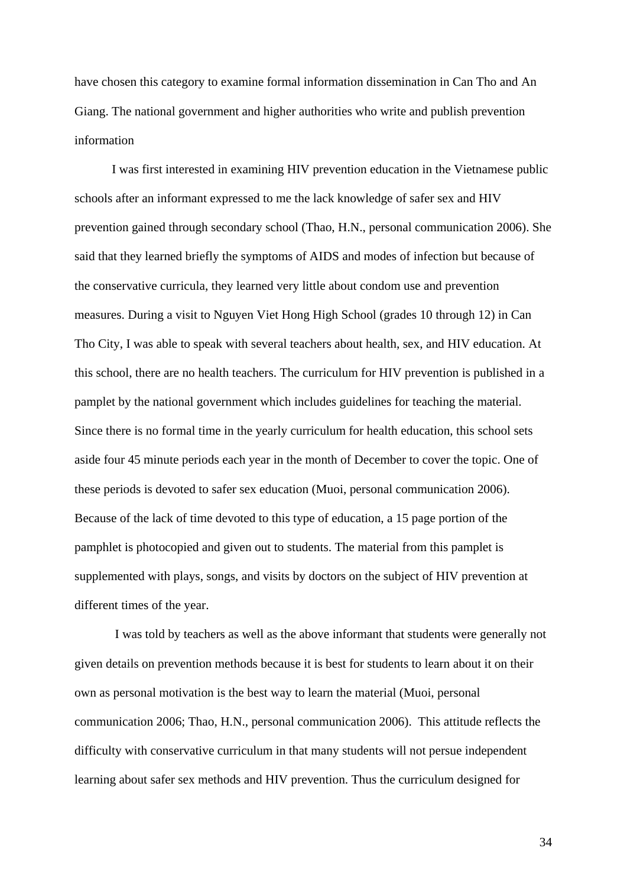have chosen this category to examine formal information dissemination in Can Tho and An Giang. The national government and higher authorities who write and publish prevention information

I was first interested in examining HIV prevention education in the Vietnamese public schools after an informant expressed to me the lack knowledge of safer sex and HIV prevention gained through secondary school (Thao, H.N., personal communication 2006). She said that they learned briefly the symptoms of AIDS and modes of infection but because of the conservative curricula, they learned very little about condom use and prevention measures. During a visit to Nguyen Viet Hong High School (grades 10 through 12) in Can Tho City, I was able to speak with several teachers about health, sex, and HIV education. At this school, there are no health teachers. The curriculum for HIV prevention is published in a pamplet by the national government which includes guidelines for teaching the material. Since there is no formal time in the yearly curriculum for health education, this school sets aside four 45 minute periods each year in the month of December to cover the topic. One of these periods is devoted to safer sex education (Muoi, personal communication 2006). Because of the lack of time devoted to this type of education, a 15 page portion of the pamphlet is photocopied and given out to students. The material from this pamplet is supplemented with plays, songs, and visits by doctors on the subject of HIV prevention at different times of the year.

 I was told by teachers as well as the above informant that students were generally not given details on prevention methods because it is best for students to learn about it on their own as personal motivation is the best way to learn the material (Muoi, personal communication 2006; Thao, H.N., personal communication 2006). This attitude reflects the difficulty with conservative curriculum in that many students will not persue independent learning about safer sex methods and HIV prevention. Thus the curriculum designed for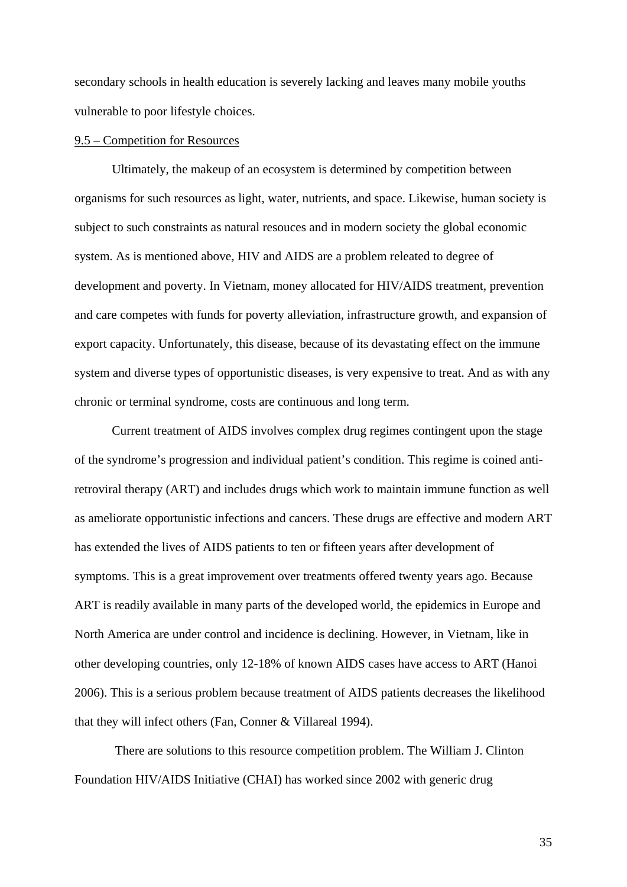secondary schools in health education is severely lacking and leaves many mobile youths vulnerable to poor lifestyle choices.

#### 9.5 – Competition for Resources

Ultimately, the makeup of an ecosystem is determined by competition between organisms for such resources as light, water, nutrients, and space. Likewise, human society is subject to such constraints as natural resouces and in modern society the global economic system. As is mentioned above, HIV and AIDS are a problem releated to degree of development and poverty. In Vietnam, money allocated for HIV/AIDS treatment, prevention and care competes with funds for poverty alleviation, infrastructure growth, and expansion of export capacity. Unfortunately, this disease, because of its devastating effect on the immune system and diverse types of opportunistic diseases, is very expensive to treat. And as with any chronic or terminal syndrome, costs are continuous and long term.

Current treatment of AIDS involves complex drug regimes contingent upon the stage of the syndrome's progression and individual patient's condition. This regime is coined antiretroviral therapy (ART) and includes drugs which work to maintain immune function as well as ameliorate opportunistic infections and cancers. These drugs are effective and modern ART has extended the lives of AIDS patients to ten or fifteen years after development of symptoms. This is a great improvement over treatments offered twenty years ago. Because ART is readily available in many parts of the developed world, the epidemics in Europe and North America are under control and incidence is declining. However, in Vietnam, like in other developing countries, only 12-18% of known AIDS cases have access to ART (Hanoi 2006). This is a serious problem because treatment of AIDS patients decreases the likelihood that they will infect others (Fan, Conner & Villareal 1994).

 There are solutions to this resource competition problem. The William J. Clinton Foundation HIV/AIDS Initiative (CHAI) has worked since 2002 with generic drug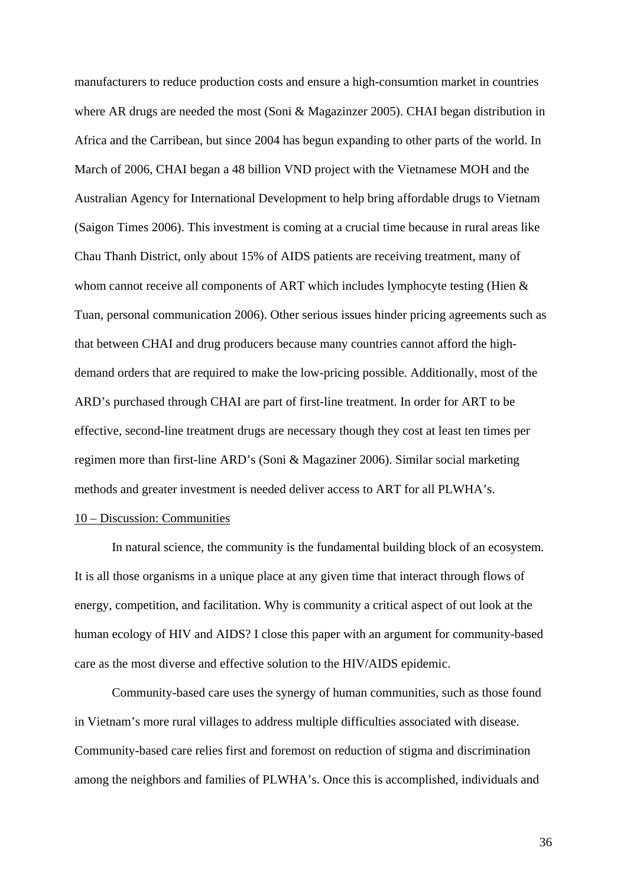manufacturers to reduce production costs and ensure a high-consumtion market in countries where AR drugs are needed the most (Soni & Magazinzer 2005). CHAI began distribution in Africa and the Carribean, but since 2004 has begun expanding to other parts of the world. In March of 2006, CHAI began a 48 billion VND project with the Vietnamese MOH and the Australian Agency for International Development to help bring affordable drugs to Vietnam (Saigon Times 2006). This investment is coming at a crucial time because in rural areas like Chau Thanh District, only about 15% of AIDS patients are receiving treatment, many of whom cannot receive all components of ART which includes lymphocyte testing (Hien  $\&$ Tuan, personal communication 2006). Other serious issues hinder pricing agreements such as that between CHAI and drug producers because many countries cannot afford the highdemand orders that are required to make the low-pricing possible. Additionally, most of the ARD's purchased through CHAI are part of first-line treatment. In order for ART to be effective, second-line treatment drugs are necessary though they cost at least ten times per regimen more than first-line ARD's (Soni & Magaziner 2006). Similar social marketing methods and greater investment is needed deliver access to ART for all PLWHA's.

## 10 – Discussion: Communities

 In natural science, the community is the fundamental building block of an ecosystem. It is all those organisms in a unique place at any given time that interact through flows of energy, competition, and facilitation. Why is community a critical aspect of out look at the human ecology of HIV and AIDS? I close this paper with an argument for community-based care as the most diverse and effective solution to the HIV/AIDS epidemic.

 Community-based care uses the synergy of human communities, such as those found in Vietnam's more rural villages to address multiple difficulties associated with disease. Community-based care relies first and foremost on reduction of stigma and discrimination among the neighbors and families of PLWHA's. Once this is accomplished, individuals and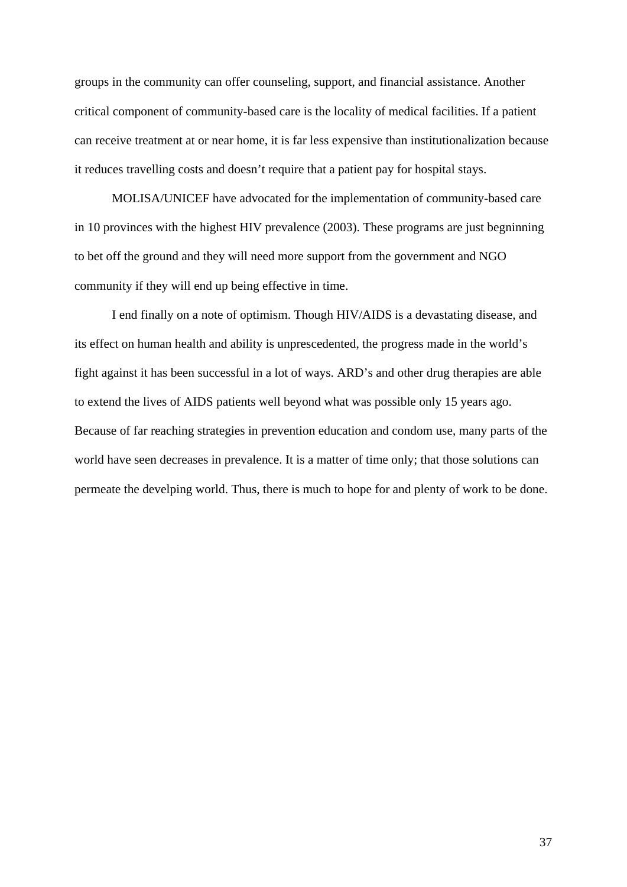groups in the community can offer counseling, support, and financial assistance. Another critical component of community-based care is the locality of medical facilities. If a patient can receive treatment at or near home, it is far less expensive than institutionalization because it reduces travelling costs and doesn't require that a patient pay for hospital stays.

 MOLISA/UNICEF have advocated for the implementation of community-based care in 10 provinces with the highest HIV prevalence (2003). These programs are just begninning to bet off the ground and they will need more support from the government and NGO community if they will end up being effective in time.

 I end finally on a note of optimism. Though HIV/AIDS is a devastating disease, and its effect on human health and ability is unprescedented, the progress made in the world's fight against it has been successful in a lot of ways. ARD's and other drug therapies are able to extend the lives of AIDS patients well beyond what was possible only 15 years ago. Because of far reaching strategies in prevention education and condom use, many parts of the world have seen decreases in prevalence. It is a matter of time only; that those solutions can permeate the develping world. Thus, there is much to hope for and plenty of work to be done.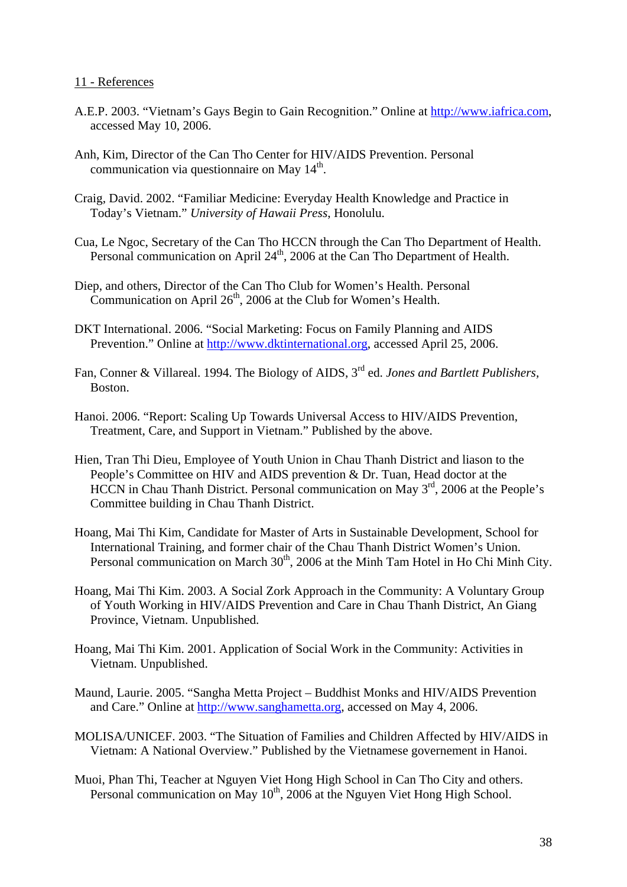## 11 - References

- A.E.P. 2003. "Vietnam's Gays Begin to Gain Recognition." Online at [http://www.iafrica.com](http://www.iafrica.com/), accessed May 10, 2006.
- Anh, Kim, Director of the Can Tho Center for HIV/AIDS Prevention. Personal communication via questionnaire on May 14<sup>th</sup>.
- Craig, David. 2002. "Familiar Medicine: Everyday Health Knowledge and Practice in Today's Vietnam." *University of Hawaii Press*, Honolulu.
- Cua, Le Ngoc, Secretary of the Can Tho HCCN through the Can Tho Department of Health. Personal communication on April  $24<sup>th</sup>$ , 2006 at the Can Tho Department of Health.
- Diep, and others, Director of the Can Tho Club for Women's Health. Personal Communication on April  $26<sup>th</sup>$ , 2006 at the Club for Women's Health.
- DKT International. 2006. "Social Marketing: Focus on Family Planning and AIDS Prevention." Online at [http://www.dktinternational.org](http://www.dktinternational.org/), accessed April 25, 2006.
- Fan, Conner & Villareal. 1994. The Biology of AIDS, 3rd ed. *Jones and Bartlett Publishers,* Boston.
- Hanoi. 2006. "Report: Scaling Up Towards Universal Access to HIV/AIDS Prevention, Treatment, Care, and Support in Vietnam." Published by the above.
- Hien, Tran Thi Dieu, Employee of Youth Union in Chau Thanh District and liason to the People's Committee on HIV and AIDS prevention & Dr. Tuan, Head doctor at the HCCN in Chau Thanh District. Personal communication on May 3<sup>rd</sup>, 2006 at the People's Committee building in Chau Thanh District.
- Hoang, Mai Thi Kim, Candidate for Master of Arts in Sustainable Development, School for International Training, and former chair of the Chau Thanh District Women's Union. Personal communication on March  $30<sup>th</sup>$ , 2006 at the Minh Tam Hotel in Ho Chi Minh City.
- Hoang, Mai Thi Kim. 2003. A Social Zork Approach in the Community: A Voluntary Group of Youth Working in HIV/AIDS Prevention and Care in Chau Thanh District, An Giang Province, Vietnam. Unpublished.
- Hoang, Mai Thi Kim. 2001. Application of Social Work in the Community: Activities in Vietnam. Unpublished.
- Maund, Laurie. 2005. "Sangha Metta Project Buddhist Monks and HIV/AIDS Prevention and Care." Online at [http://www.sanghametta.org](http://www.sanghametta.org/), accessed on May 4, 2006.
- MOLISA/UNICEF. 2003. "The Situation of Families and Children Affected by HIV/AIDS in Vietnam: A National Overview." Published by the Vietnamese governement in Hanoi.
- Muoi, Phan Thi, Teacher at Nguyen Viet Hong High School in Can Tho City and others. Personal communication on May  $10^{th}$ , 2006 at the Nguyen Viet Hong High School.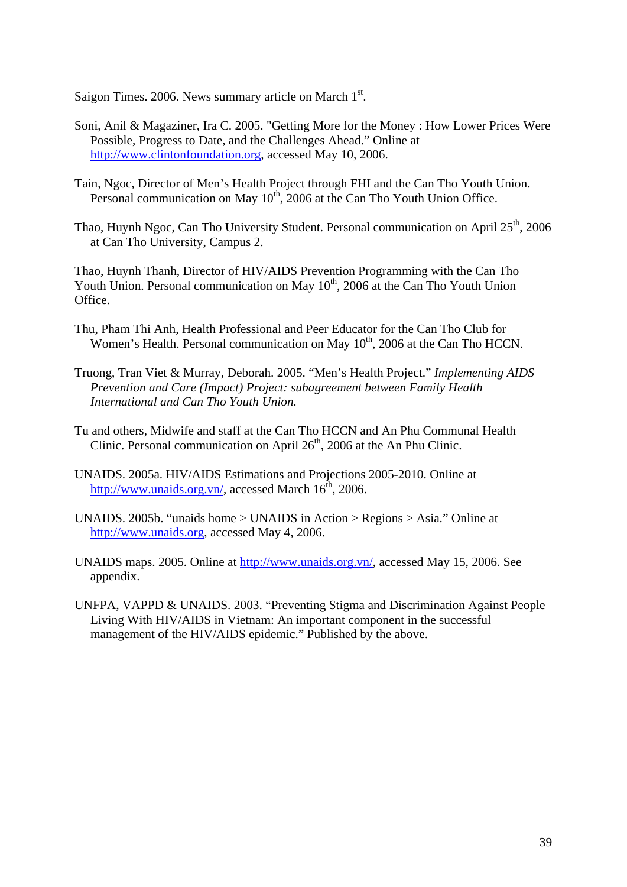Saigon Times.  $2006$ . News summary article on March  $1<sup>st</sup>$ .

- Soni, Anil & Magaziner, Ira C. 2005. "Getting More for the Money : How Lower Prices Were Possible, Progress to Date, and the Challenges Ahead." Online at [http://www.clintonfoundation.org,](http://www.clintonfoundation.org/) accessed May 10, 2006.
- Tain, Ngoc, Director of Men's Health Project through FHI and the Can Tho Youth Union. Personal communication on May  $10^{th}$ , 2006 at the Can Tho Youth Union Office.
- Thao, Huynh Ngoc, Can Tho University Student. Personal communication on April  $25<sup>th</sup>$ , 2006 at Can Tho University, Campus 2.

Thao, Huynh Thanh, Director of HIV/AIDS Prevention Programming with the Can Tho Youth Union. Personal communication on May  $10^{th}$ , 2006 at the Can Tho Youth Union Office.

- Thu, Pham Thi Anh, Health Professional and Peer Educator for the Can Tho Club for Women's Health. Personal communication on May 10<sup>th</sup>, 2006 at the Can Tho HCCN.
- Truong, Tran Viet & Murray, Deborah. 2005. "Men's Health Project." *Implementing AIDS Prevention and Care (Impact) Project: subagreement between Family Health International and Can Tho Youth Union.*
- Tu and others, Midwife and staff at the Can Tho HCCN and An Phu Communal Health Clinic. Personal communication on April 26<sup>th</sup>, 2006 at the An Phu Clinic.
- UNAIDS. 2005a. HIV/AIDS Estimations and Projections 2005-2010. Online at <http://www.unaids.org.vn/>, accessed March  $16<sup>th</sup>$ , 2006.
- UNAIDS. 2005b. "unaids home > UNAIDS in Action > Regions > Asia." Online at [http://www.unaids.org,](http://www.unaids.org/) accessed May 4, 2006.
- UNAIDS maps. 2005. Online at <http://www.unaids.org.vn/>, accessed May 15, 2006. See appendix.
- UNFPA, VAPPD & UNAIDS. 2003. "Preventing Stigma and Discrimination Against People Living With HIV/AIDS in Vietnam: An important component in the successful management of the HIV/AIDS epidemic." Published by the above.